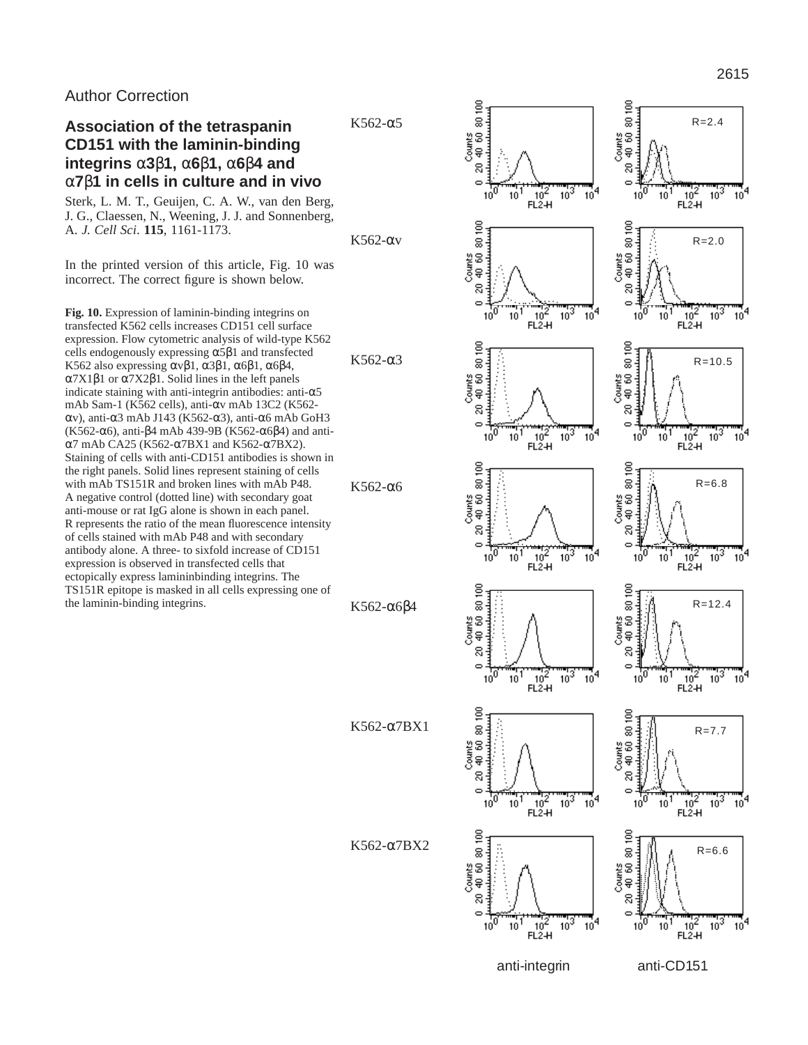## Author Correction

# **Association of the tetraspanin CD151 with the laminin-binding integrins** α**3**β**1,** α**6**β**1,** α**6**β**4 and** α**7**β**1 in cells in culture and in vivo**

Sterk, L. M. T., Geuijen, C. A. W., van den Berg, J. G., Claessen, N., Weening, J. J. and Sonnenberg, A. *J. Cell Sci*. **115**, 1161-1173.

In the printed version of this article, Fig. 10 was incorrect. The correct figure is shown below.

**Fig. 10.** Expression of laminin-binding integrins on transfected K562 cells increases CD151 cell surface expression. Flow cytometric analysis of wild-type K562 cells endogenously expressing  $α5β1$  and transfected K562 also expressing  $\alpha \beta$ 1, α3β1, α6β1, α6β4, α7X1β1 or α7X2β1. Solid lines in the left panels indicate staining with anti-integrin antibodies: anti- $\alpha$ 5 mAb Sam-1 (K562 cells), anti-αv mAb 13C2 (K562 αv), anti-α3 mAb J143 (K562-α3), anti-α6 mAb GoH3 (K562-α6), anti-β4 mAb 439-9B (K562-α6β4) and antiα7 mAb CA25 (K562-α7BX1 and K562-α7BX2). Staining of cells with anti-CD151 antibodies is shown in the right panels. Solid lines represent staining of cells with mAb TS151R and broken lines with mAb P48. A negative control (dotted line) with secondary goat anti-mouse or rat IgG alone is shown in each panel. R represents the ratio of the mean fluorescence intensity of cells stained with mAb P48 and with secondary antibody alone. A three- to sixfold increase of CD151 expression is observed in transfected cells that ectopically express lamininbinding integrins. The TS151R epitope is masked in all cells expressing one of the laminin-binding integrins.

K562-αv

K562-α3

K562-α5

K562-α6β4

K562-α6

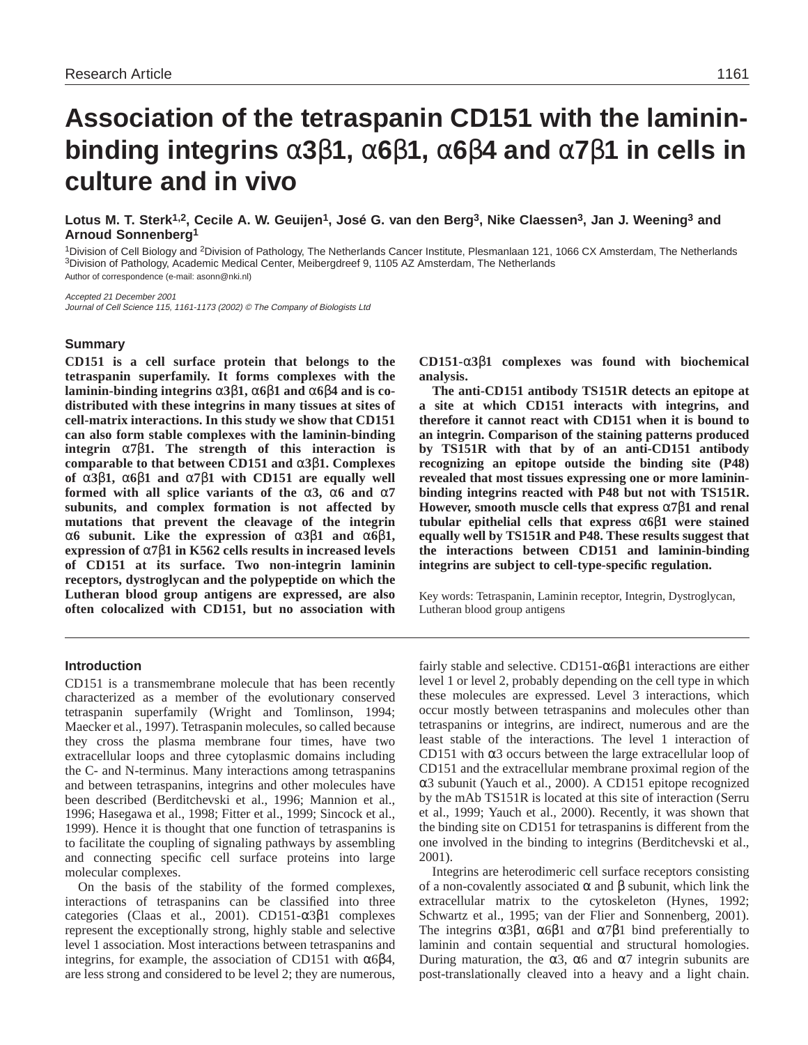# **Association of the tetraspanin CD151 with the lamininbinding integrins** α**3**β**1,** α**6**β**1,** α**6**β**4 and** α**7**β**1 in cells in culture and in vivo**

**Lotus M. T. Sterk1,2, Cecile A. W. Geuijen1, José G. van den Berg3, Nike Claessen3, Jan J. Weening3 and Arnoud Sonnenberg1**

1Division of Cell Biology and 2Division of Pathology, The Netherlands Cancer Institute, Plesmanlaan 121, 1066 CX Amsterdam, The Netherlands 3Division of Pathology, Academic Medical Center, Meibergdreef 9, 1105 AZ Amsterdam, The Netherlands Author of correspondence (e-mail: asonn@nki.nl)

Accepted 21 December 2001 Journal of Cell Science 115, 1161-1173 (2002) © The Company of Biologists Ltd

#### **Summary**

**CD151 is a cell surface protein that belongs to the tetraspanin superfamily. It forms complexes with the laminin-binding integrins** α**3**β**1,** α**6**β**1 and** α**6**β**4 and is codistributed with these integrins in many tissues at sites of cell-matrix interactions. In this study we show that CD151 can also form stable complexes with the laminin-binding integrin** α**7**β**1. The strength of this interaction is comparable to that between CD151 and** α**3**β**1. Complexes of** α**3**β**1,** α**6**β**1 and** α**7**β**1 with CD151 are equally well formed with all splice variants of the** α**3,** α**6 and** α**7 subunits, and complex formation is not affected by mutations that prevent the cleavage of the integrin** α**6 subunit. Like the expression of** α**3**β**1 and** α**6**β**1, expression of** α**7**β**1 in K562 cells results in increased levels of CD151 at its surface. Two non-integrin laminin receptors, dystroglycan and the polypeptide on which the Lutheran blood group antigens are expressed, are also often colocalized with CD151, but no association with**

**CD151-**α**3**β**1 complexes was found with biochemical analysis.** 

**The anti-CD151 antibody TS151R detects an epitope at a site at which CD151 interacts with integrins, and therefore it cannot react with CD151 when it is bound to an integrin. Comparison of the staining patterns produced by TS151R with that by of an anti-CD151 antibody recognizing an epitope outside the binding site (P48) revealed that most tissues expressing one or more lamininbinding integrins reacted with P48 but not with TS151R. However, smooth muscle cells that express** α**7**β**1 and renal tubular epithelial cells that express** α**6**β**1 were stained equally well by TS151R and P48. These results suggest that the interactions between CD151 and laminin-binding integrins are subject to cell-type-specific regulation.** 

Key words: Tetraspanin, Laminin receptor, Integrin, Dystroglycan, Lutheran blood group antigens

### **Introduction**

CD151 is a transmembrane molecule that has been recently characterized as a member of the evolutionary conserved tetraspanin superfamily (Wright and Tomlinson, 1994; Maecker et al., 1997). Tetraspanin molecules, so called because they cross the plasma membrane four times, have two extracellular loops and three cytoplasmic domains including the C- and N-terminus. Many interactions among tetraspanins and between tetraspanins, integrins and other molecules have been described (Berditchevski et al., 1996; Mannion et al., 1996; Hasegawa et al., 1998; Fitter et al., 1999; Sincock et al., 1999). Hence it is thought that one function of tetraspanins is to facilitate the coupling of signaling pathways by assembling and connecting specific cell surface proteins into large molecular complexes.

On the basis of the stability of the formed complexes, interactions of tetraspanins can be classified into three categories (Claas et al., 2001). CD151-α3β1 complexes represent the exceptionally strong, highly stable and selective level 1 association. Most interactions between tetraspanins and integrins, for example, the association of CD151 with  $α6β4$ , are less strong and considered to be level 2; they are numerous,

fairly stable and selective. CD151-α6β1 interactions are either level 1 or level 2, probably depending on the cell type in which these molecules are expressed. Level 3 interactions, which occur mostly between tetraspanins and molecules other than tetraspanins or integrins, are indirect, numerous and are the least stable of the interactions. The level 1 interaction of CD151 with α3 occurs between the large extracellular loop of CD151 and the extracellular membrane proximal region of the α3 subunit (Yauch et al., 2000). A CD151 epitope recognized by the mAb TS151R is located at this site of interaction (Serru et al., 1999; Yauch et al., 2000). Recently, it was shown that the binding site on CD151 for tetraspanins is different from the one involved in the binding to integrins (Berditchevski et al., 2001).

Integrins are heterodimeric cell surface receptors consisting of a non-covalently associated  $\alpha$  and  $\beta$  subunit, which link the extracellular matrix to the cytoskeleton (Hynes, 1992; Schwartz et al., 1995; van der Flier and Sonnenberg, 2001). The integrins  $\alpha$ 3β1,  $\alpha$ 6β1 and  $\alpha$ 7β1 bind preferentially to laminin and contain sequential and structural homologies. During maturation, the α3, α6 and α7 integrin subunits are post-translationally cleaved into a heavy and a light chain.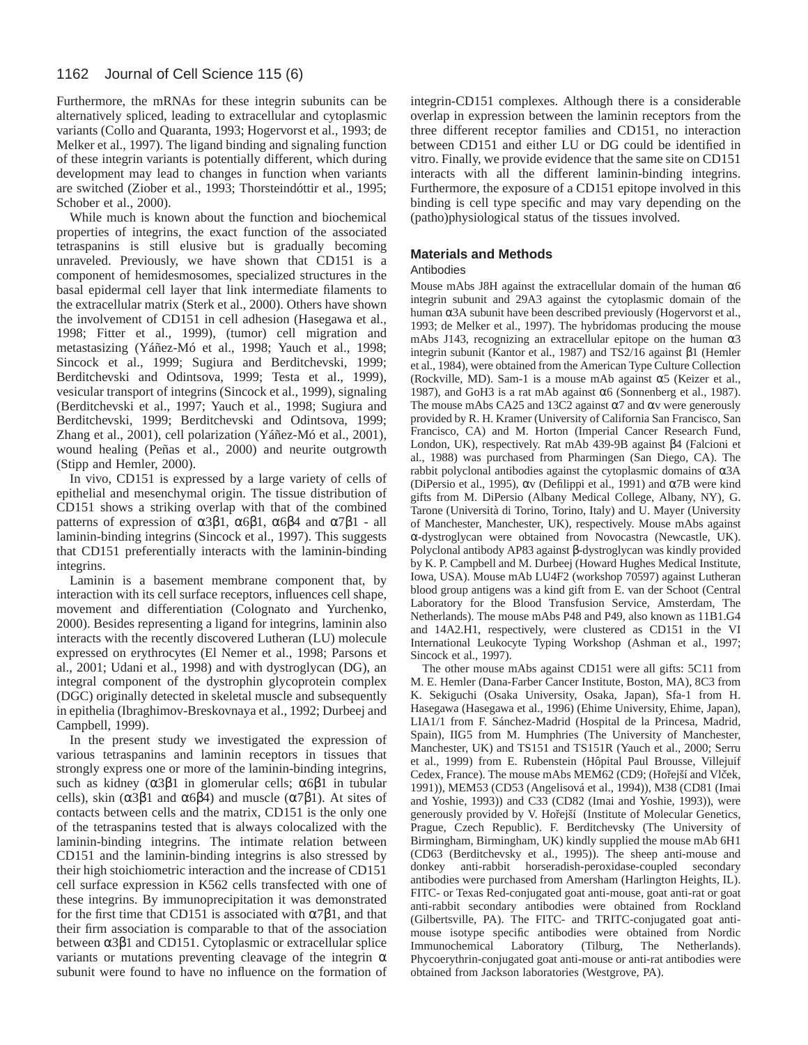#### 1162 Journal of Cell Science 115 (6)

Furthermore, the mRNAs for these integrin subunits can be alternatively spliced, leading to extracellular and cytoplasmic variants (Collo and Quaranta, 1993; Hogervorst et al., 1993; de Melker et al., 1997). The ligand binding and signaling function of these integrin variants is potentially different, which during development may lead to changes in function when variants are switched (Ziober et al., 1993; Thorsteindóttir et al., 1995; Schober et al., 2000).

While much is known about the function and biochemical properties of integrins, the exact function of the associated tetraspanins is still elusive but is gradually becoming unraveled. Previously, we have shown that CD151 is a component of hemidesmosomes, specialized structures in the basal epidermal cell layer that link intermediate filaments to the extracellular matrix (Sterk et al., 2000). Others have shown the involvement of CD151 in cell adhesion (Hasegawa et al., 1998; Fitter et al., 1999), (tumor) cell migration and metastasizing (Yáñez-Mó et al., 1998; Yauch et al., 1998; Sincock et al., 1999; Sugiura and Berditchevski, 1999; Berditchevski and Odintsova, 1999; Testa et al., 1999), vesicular transport of integrins (Sincock et al., 1999), signaling (Berditchevski et al., 1997; Yauch et al., 1998; Sugiura and Berditchevski, 1999; Berditchevski and Odintsova, 1999; Zhang et al., 2001), cell polarization (Yáñez-Mó et al., 2001), wound healing (Peñas et al., 2000) and neurite outgrowth (Stipp and Hemler, 2000).

In vivo, CD151 is expressed by a large variety of cells of epithelial and mesenchymal origin. The tissue distribution of CD151 shows a striking overlap with that of the combined patterns of expression of  $\alpha$ 3β1,  $\alpha$ 6β1,  $\alpha$ 6β4 and  $\alpha$ 7β1 - all laminin-binding integrins (Sincock et al., 1997). This suggests that CD151 preferentially interacts with the laminin-binding integrins.

Laminin is a basement membrane component that, by interaction with its cell surface receptors, influences cell shape, movement and differentiation (Colognato and Yurchenko, 2000). Besides representing a ligand for integrins, laminin also interacts with the recently discovered Lutheran (LU) molecule expressed on erythrocytes (El Nemer et al., 1998; Parsons et al., 2001; Udani et al., 1998) and with dystroglycan (DG), an integral component of the dystrophin glycoprotein complex (DGC) originally detected in skeletal muscle and subsequently in epithelia (Ibraghimov-Breskovnaya et al., 1992; Durbeej and Campbell, 1999).

In the present study we investigated the expression of various tetraspanins and laminin receptors in tissues that strongly express one or more of the laminin-binding integrins, such as kidney  $(\alpha 3\beta 1)$  in glomerular cells;  $\alpha 6\beta 1$  in tubular cells), skin ( $\alpha$ 3β1 and  $\alpha$ 6β4) and muscle ( $\alpha$ 7β1). At sites of contacts between cells and the matrix, CD151 is the only one of the tetraspanins tested that is always colocalized with the laminin-binding integrins. The intimate relation between CD151 and the laminin-binding integrins is also stressed by their high stoichiometric interaction and the increase of CD151 cell surface expression in K562 cells transfected with one of these integrins. By immunoprecipitation it was demonstrated for the first time that CD151 is associated with  $\alpha$ 7 $\beta$ 1, and that their firm association is comparable to that of the association between α3β1 and CD151. Cytoplasmic or extracellular splice variants or mutations preventing cleavage of the integrin  $\alpha$ subunit were found to have no influence on the formation of integrin-CD151 complexes. Although there is a considerable overlap in expression between the laminin receptors from the three different receptor families and CD151, no interaction between CD151 and either LU or DG could be identified in vitro. Finally, we provide evidence that the same site on CD151 interacts with all the different laminin-binding integrins. Furthermore, the exposure of a CD151 epitope involved in this binding is cell type specific and may vary depending on the (patho)physiological status of the tissues involved.

#### **Materials and Methods**

#### Antibodies

Mouse mAbs J8H against the extracellular domain of the human  $\alpha$ 6 integrin subunit and 29A3 against the cytoplasmic domain of the human α3A subunit have been described previously (Hogervorst et al., 1993; de Melker et al., 1997). The hybridomas producing the mouse mAbs J143, recognizing an extracellular epitope on the human  $\alpha$ 3 integrin subunit (Kantor et al., 1987) and TS2/16 against β1 (Hemler et al., 1984), were obtained from the American Type Culture Collection (Rockville, MD). Sam-1 is a mouse mAb against  $\alpha$ 5 (Keizer et al., 1987), and GoH3 is a rat mAb against  $\alpha$ 6 (Sonnenberg et al., 1987). The mouse mAbs CA25 and 13C2 against  $\alpha$ 7 and  $\alpha$ v were generously provided by R. H. Kramer (University of California San Francisco, San Francisco, CA) and M. Horton (Imperial Cancer Research Fund, London, UK), respectively. Rat mAb 439-9B against β4 (Falcioni et al., 1988) was purchased from Pharmingen (San Diego, CA). The rabbit polyclonal antibodies against the cytoplasmic domains of α3A (DiPersio et al., 1995),  $\alpha v$  (Defilippi et al., 1991) and  $\alpha$ 7B were kind gifts from M. DiPersio (Albany Medical College, Albany, NY), G. Tarone (Università di Torino, Torino, Italy) and U. Mayer (University of Manchester, Manchester, UK), respectively. Mouse mAbs against α-dystroglycan were obtained from Novocastra (Newcastle, UK). Polyclonal antibody AP83 against β-dystroglycan was kindly provided by K. P. Campbell and M. Durbeej (Howard Hughes Medical Institute, Iowa, USA). Mouse mAb LU4F2 (workshop 70597) against Lutheran blood group antigens was a kind gift from E. van der Schoot (Central Laboratory for the Blood Transfusion Service, Amsterdam, The Netherlands). The mouse mAbs P48 and P49, also known as 11B1.G4 and 14A2.H1, respectively, were clustered as CD151 in the VI International Leukocyte Typing Workshop (Ashman et al., 1997; Sincock et al., 1997).

The other mouse mAbs against CD151 were all gifts: 5C11 from M. E. Hemler (Dana-Farber Cancer Institute, Boston, MA), 8C3 from K. Sekiguchi (Osaka University, Osaka, Japan), Sfa-1 from H. Hasegawa (Hasegawa et al., 1996) (Ehime University, Ehime, Japan), LIA1/1 from F. Sánchez-Madrid (Hospital de la Princesa, Madrid, Spain), IIG5 from M. Humphries (The University of Manchester, Manchester, UK) and TS151 and TS151R (Yauch et al., 2000; Serru et al., 1999) from E. Rubenstein (Hôpital Paul Brousse, Villejuif Cedex, France). The mouse mAbs MEM62 (CD9; (Hořejší and Vlček, 1991)), MEM53 (CD53 (Angelisová et al., 1994)), M38 (CD81 (Imai and Yoshie, 1993)) and C33 (CD82 (Imai and Yoshie, 1993)), were generously provided by V. Hořejší (Institute of Molecular Genetics, Prague, Czech Republic). F. Berditchevsky (The University of Birmingham, Birmingham, UK) kindly supplied the mouse mAb 6H1 (CD63 (Berditchevsky et al., 1995)). The sheep anti-mouse and donkey anti-rabbit horseradish-peroxidase-coupled secondary antibodies were purchased from Amersham (Harlington Heights, IL). FITC- or Texas Red-conjugated goat anti-mouse, goat anti-rat or goat anti-rabbit secondary antibodies were obtained from Rockland (Gilbertsville, PA). The FITC- and TRITC-conjugated goat antimouse isotype specific antibodies were obtained from Nordic Immunochemical Laboratory (Tilburg, The Netherlands). Phycoerythrin-conjugated goat anti-mouse or anti-rat antibodies were obtained from Jackson laboratories (Westgrove, PA).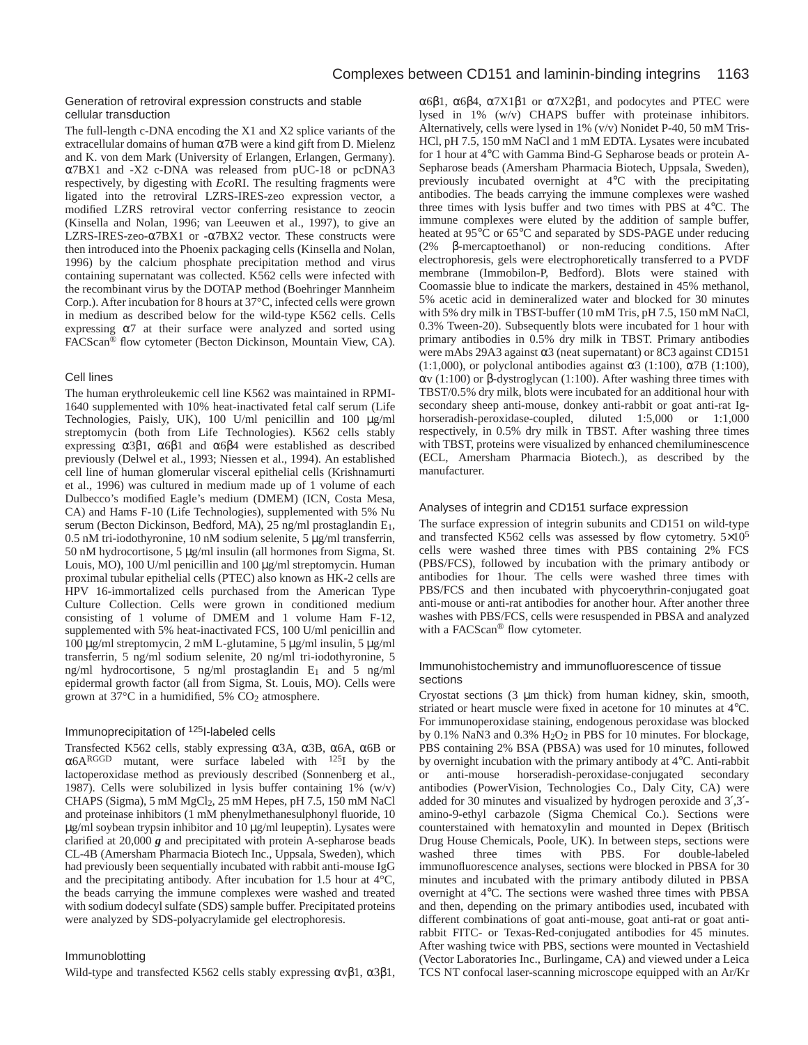#### Generation of retroviral expression constructs and stable cellular transduction

The full-length c-DNA encoding the X1 and X2 splice variants of the extracellular domains of human  $\alpha$ 7B were a kind gift from D. Mielenz and K. von dem Mark (University of Erlangen, Erlangen, Germany). α7BX1 and -X2 c-DNA was released from pUC-18 or pcDNA3 respectively, by digesting with *Eco*RI. The resulting fragments were ligated into the retroviral LZRS-IRES-zeo expression vector, a modified LZRS retroviral vector conferring resistance to zeocin (Kinsella and Nolan, 1996; van Leeuwen et al., 1997), to give an LZRS-IRES-zeo-α7BX1 or -α7BX2 vector. These constructs were then introduced into the Phoenix packaging cells (Kinsella and Nolan, 1996) by the calcium phosphate precipitation method and virus containing supernatant was collected. K562 cells were infected with the recombinant virus by the DOTAP method (Boehringer Mannheim Corp.). After incubation for 8 hours at 37°C, infected cells were grown in medium as described below for the wild-type K562 cells. Cells expressing α7 at their surface were analyzed and sorted using FACScan® flow cytometer (Becton Dickinson, Mountain View, CA).

#### Cell lines

The human erythroleukemic cell line K562 was maintained in RPMI-1640 supplemented with 10% heat-inactivated fetal calf serum (Life Technologies, Paisly, UK), 100 U/ml penicillin and 100 µg/ml streptomycin (both from Life Technologies). K562 cells stably expressing  $\alpha$ 3β1,  $\alpha$ 6β1 and  $\alpha$ 6β4 were established as described previously (Delwel et al., 1993; Niessen et al., 1994). An established cell line of human glomerular visceral epithelial cells (Krishnamurti et al., 1996) was cultured in medium made up of 1 volume of each Dulbecco's modified Eagle's medium (DMEM) (ICN, Costa Mesa, CA) and Hams F-10 (Life Technologies), supplemented with 5% Nu serum (Becton Dickinson, Bedford, MA), 25 ng/ml prostaglandin E1, 0.5 nM tri-iodothyronine, 10 nM sodium selenite, 5 µg/ml transferrin, 50 nM hydrocortisone, 5 µg/ml insulin (all hormones from Sigma, St. Louis, MO), 100 U/ml penicillin and 100 µg/ml streptomycin. Human proximal tubular epithelial cells (PTEC) also known as HK-2 cells are HPV 16-immortalized cells purchased from the American Type Culture Collection. Cells were grown in conditioned medium consisting of 1 volume of DMEM and 1 volume Ham F-12, supplemented with 5% heat-inactivated FCS, 100 U/ml penicillin and 100 µg/ml streptomycin, 2 mM L-glutamine, 5 µg/ml insulin, 5 µg/ml transferrin, 5 ng/ml sodium selenite, 20 ng/ml tri-iodothyronine, 5 ng/ml hydrocortisone, 5 ng/ml prostaglandin E1 and 5 ng/ml epidermal growth factor (all from Sigma, St. Louis, MO). Cells were grown at 37°C in a humidified, 5% CO2 atmosphere.

#### Immunoprecipitation of 125I-labeled cells

Transfected K562 cells, stably expressing α3A, α3B, α6A, α6B or α6ARGGD mutant, were surface labeled with 125I by the lactoperoxidase method as previously described (Sonnenberg et al., 1987). Cells were solubilized in lysis buffer containing 1% (w/v) CHAPS (Sigma), 5 mM MgCl2, 25 mM Hepes, pH 7.5, 150 mM NaCl and proteinase inhibitors (1 mM phenylmethanesulphonyl fluoride, 10 µg/ml soybean trypsin inhibitor and 10 µg/ml leupeptin). Lysates were clarified at 20,000 *g* and precipitated with protein A-sepharose beads CL-4B (Amersham Pharmacia Biotech Inc., Uppsala, Sweden), which had previously been sequentially incubated with rabbit anti-mouse IgG and the precipitating antibody. After incubation for 1.5 hour at  $4^{\circ}$ C, the beads carrying the immune complexes were washed and treated with sodium dodecyl sulfate (SDS) sample buffer. Precipitated proteins were analyzed by SDS-polyacrylamide gel electrophoresis.

#### Immunoblotting

Wild-type and transfected K562 cells stably expressing  $\alpha \beta$ 1,  $\alpha$ 3 $\beta$ 1,

α6β1, α6β4, α7X1β1 or α7X2β1, and podocytes and PTEC were lysed in 1% (w/v) CHAPS buffer with proteinase inhibitors. Alternatively, cells were lysed in 1% (v/v) Nonidet P-40, 50 mM Tris-HCl, pH 7.5, 150 mM NaCl and 1 mM EDTA. Lysates were incubated for 1 hour at 4°C with Gamma Bind-G Sepharose beads or protein A-Sepharose beads (Amersham Pharmacia Biotech, Uppsala, Sweden), previously incubated overnight at 4°C with the precipitating antibodies. The beads carrying the immune complexes were washed three times with lysis buffer and two times with PBS at 4°C. The immune complexes were eluted by the addition of sample buffer, heated at 95°C or 65°C and separated by SDS-PAGE under reducing (2% β-mercaptoethanol) or non-reducing conditions. After electrophoresis, gels were electrophoretically transferred to a PVDF membrane (Immobilon-P, Bedford). Blots were stained with Coomassie blue to indicate the markers, destained in 45% methanol, 5% acetic acid in demineralized water and blocked for 30 minutes with 5% dry milk in TBST-buffer (10 mM Tris, pH 7.5, 150 mM NaCl, 0.3% Tween-20). Subsequently blots were incubated for 1 hour with primary antibodies in 0.5% dry milk in TBST. Primary antibodies were mAbs 29A3 against  $\alpha$ 3 (neat supernatant) or 8C3 against CD151 (1:1,000), or polyclonal antibodies against  $\alpha$ 3 (1:100),  $\alpha$ 7B (1:100), αv (1:100) or β-dystroglycan (1:100). After washing three times with TBST/0.5% dry milk, blots were incubated for an additional hour with secondary sheep anti-mouse, donkey anti-rabbit or goat anti-rat Ighorseradish-peroxidase-coupled, diluted 1:5,000 or 1:1,000 respectively, in 0.5% dry milk in TBST. After washing three times with TBST, proteins were visualized by enhanced chemiluminescence (ECL, Amersham Pharmacia Biotech.), as described by the manufacturer.

#### Analyses of integrin and CD151 surface expression

The surface expression of integrin subunits and CD151 on wild-type and transfected K562 cells was assessed by flow cytometry. 5×10<sup>5</sup> cells were washed three times with PBS containing 2% FCS (PBS/FCS), followed by incubation with the primary antibody or antibodies for 1hour. The cells were washed three times with PBS/FCS and then incubated with phycoerythrin-conjugated goat anti-mouse or anti-rat antibodies for another hour. After another three washes with PBS/FCS, cells were resuspended in PBSA and analyzed with a FACScan® flow cytometer.

#### Immunohistochemistry and immunofluorescence of tissue sections

Cryostat sections (3 µm thick) from human kidney, skin, smooth, striated or heart muscle were fixed in acetone for 10 minutes at 4°C. For immunoperoxidase staining, endogenous peroxidase was blocked by 0.1% NaN3 and 0.3%  $H<sub>2</sub>O<sub>2</sub>$  in PBS for 10 minutes. For blockage, PBS containing 2% BSA (PBSA) was used for 10 minutes, followed by overnight incubation with the primary antibody at 4°C. Anti-rabbit or anti-mouse horseradish-peroxidase-conjugated secondary antibodies (PowerVision, Technologies Co., Daly City, CA) were added for 30 minutes and visualized by hydrogen peroxide and 3′,3′ amino-9-ethyl carbazole (Sigma Chemical Co.). Sections were counterstained with hematoxylin and mounted in Depex (Britisch Drug House Chemicals, Poole, UK). In between steps, sections were washed three times with PBS. For double-labeled immunofluorescence analyses, sections were blocked in PBSA for 30 minutes and incubated with the primary antibody diluted in PBSA overnight at 4°C. The sections were washed three times with PBSA and then, depending on the primary antibodies used, incubated with different combinations of goat anti-mouse, goat anti-rat or goat antirabbit FITC- or Texas-Red-conjugated antibodies for 45 minutes. After washing twice with PBS, sections were mounted in Vectashield (Vector Laboratories Inc., Burlingame, CA) and viewed under a Leica TCS NT confocal laser-scanning microscope equipped with an Ar/Kr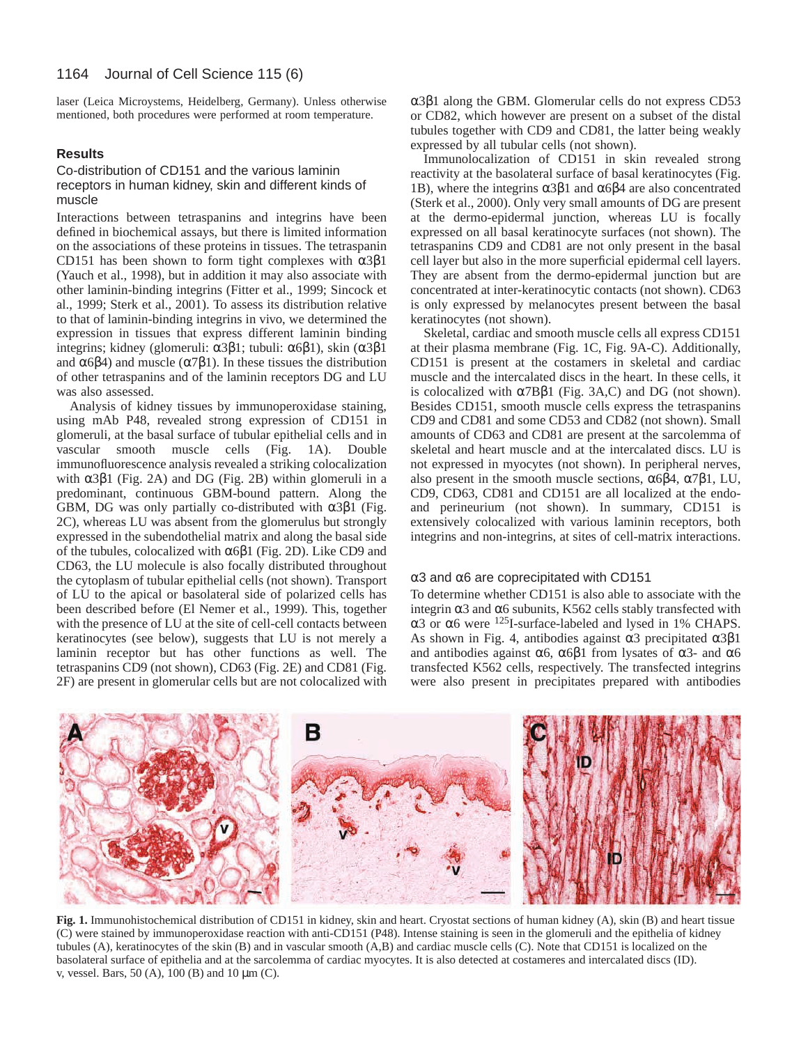laser (Leica Microystems, Heidelberg, Germany). Unless otherwise mentioned, both procedures were performed at room temperature.

#### **Results**

#### Co-distribution of CD151 and the various laminin receptors in human kidney, skin and different kinds of muscle

Interactions between tetraspanins and integrins have been defined in biochemical assays, but there is limited information on the associations of these proteins in tissues. The tetraspanin CD151 has been shown to form tight complexes with  $α3β1$ (Yauch et al., 1998), but in addition it may also associate with other laminin-binding integrins (Fitter et al., 1999; Sincock et al., 1999; Sterk et al., 2001). To assess its distribution relative to that of laminin-binding integrins in vivo, we determined the expression in tissues that express different laminin binding integrins; kidney (glomeruli: α3β1; tubuli: α6β1), skin (α3β1 and  $\alpha$ 6 $\beta$ 4) and muscle ( $\alpha$ 7 $\beta$ 1). In these tissues the distribution of other tetraspanins and of the laminin receptors DG and LU was also assessed.

Analysis of kidney tissues by immunoperoxidase staining, using mAb P48, revealed strong expression of CD151 in glomeruli, at the basal surface of tubular epithelial cells and in vascular smooth muscle cells (Fig. 1A). Double immunofluorescence analysis revealed a striking colocalization with  $α3β1$  (Fig. 2A) and DG (Fig. 2B) within glomeruli in a predominant, continuous GBM-bound pattern. Along the GBM, DG was only partially co-distributed with  $\alpha$ 3 $\beta$ 1 (Fig. 2C), whereas LU was absent from the glomerulus but strongly expressed in the subendothelial matrix and along the basal side of the tubules, colocalized with α6β1 (Fig. 2D). Like CD9 and CD63, the LU molecule is also focally distributed throughout the cytoplasm of tubular epithelial cells (not shown). Transport of LU to the apical or basolateral side of polarized cells has been described before (El Nemer et al., 1999). This, together with the presence of LU at the site of cell-cell contacts between keratinocytes (see below), suggests that LU is not merely a laminin receptor but has other functions as well. The tetraspanins CD9 (not shown), CD63 (Fig. 2E) and CD81 (Fig. 2F) are present in glomerular cells but are not colocalized with

α3β1 along the GBM. Glomerular cells do not express CD53 or CD82, which however are present on a subset of the distal tubules together with CD9 and CD81, the latter being weakly expressed by all tubular cells (not shown).

Immunolocalization of CD151 in skin revealed strong reactivity at the basolateral surface of basal keratinocytes (Fig. 1B), where the integrins  $\alpha$ 3β1 and  $\alpha$ 6β4 are also concentrated (Sterk et al., 2000). Only very small amounts of DG are present at the dermo-epidermal junction, whereas LU is focally expressed on all basal keratinocyte surfaces (not shown). The tetraspanins CD9 and CD81 are not only present in the basal cell layer but also in the more superficial epidermal cell layers. They are absent from the dermo-epidermal junction but are concentrated at inter-keratinocytic contacts (not shown). CD63 is only expressed by melanocytes present between the basal keratinocytes (not shown).

Skeletal, cardiac and smooth muscle cells all express CD151 at their plasma membrane (Fig. 1C, Fig. 9A-C). Additionally, CD151 is present at the costamers in skeletal and cardiac muscle and the intercalated discs in the heart. In these cells, it is colocalized with α7Bβ1 (Fig. 3A,C) and DG (not shown). Besides CD151, smooth muscle cells express the tetraspanins CD9 and CD81 and some CD53 and CD82 (not shown). Small amounts of CD63 and CD81 are present at the sarcolemma of skeletal and heart muscle and at the intercalated discs. LU is not expressed in myocytes (not shown). In peripheral nerves, also present in the smooth muscle sections,  $\alpha 6\beta 4$ ,  $\alpha 7\beta 1$ , LU, CD9, CD63, CD81 and CD151 are all localized at the endoand perineurium (not shown). In summary, CD151 is extensively colocalized with various laminin receptors, both integrins and non-integrins, at sites of cell-matrix interactions.

#### α3 and α6 are coprecipitated with CD151

To determine whether CD151 is also able to associate with the integrin  $\alpha$ 3 and  $\alpha$ 6 subunits, K562 cells stably transfected with α3 or α6 were 125I-surface-labeled and lysed in 1% CHAPS. As shown in Fig. 4, antibodies against  $\alpha$ 3 precipitated  $\alpha$ 3 $\beta$ 1 and antibodies against  $\alpha$ 6,  $\alpha$ 6β1 from lysates of  $\alpha$ 3- and  $\alpha$ 6 transfected K562 cells, respectively. The transfected integrins were also present in precipitates prepared with antibodies



**Fig. 1.** Immunohistochemical distribution of CD151 in kidney, skin and heart. Cryostat sections of human kidney (A), skin (B) and heart tissue (C) were stained by immunoperoxidase reaction with anti-CD151 (P48). Intense staining is seen in the glomeruli and the epithelia of kidney tubules (A), keratinocytes of the skin (B) and in vascular smooth (A,B) and cardiac muscle cells (C). Note that CD151 is localized on the basolateral surface of epithelia and at the sarcolemma of cardiac myocytes. It is also detected at costameres and intercalated discs (ID). v, vessel. Bars, 50 (A), 100 (B) and 10 µm (C).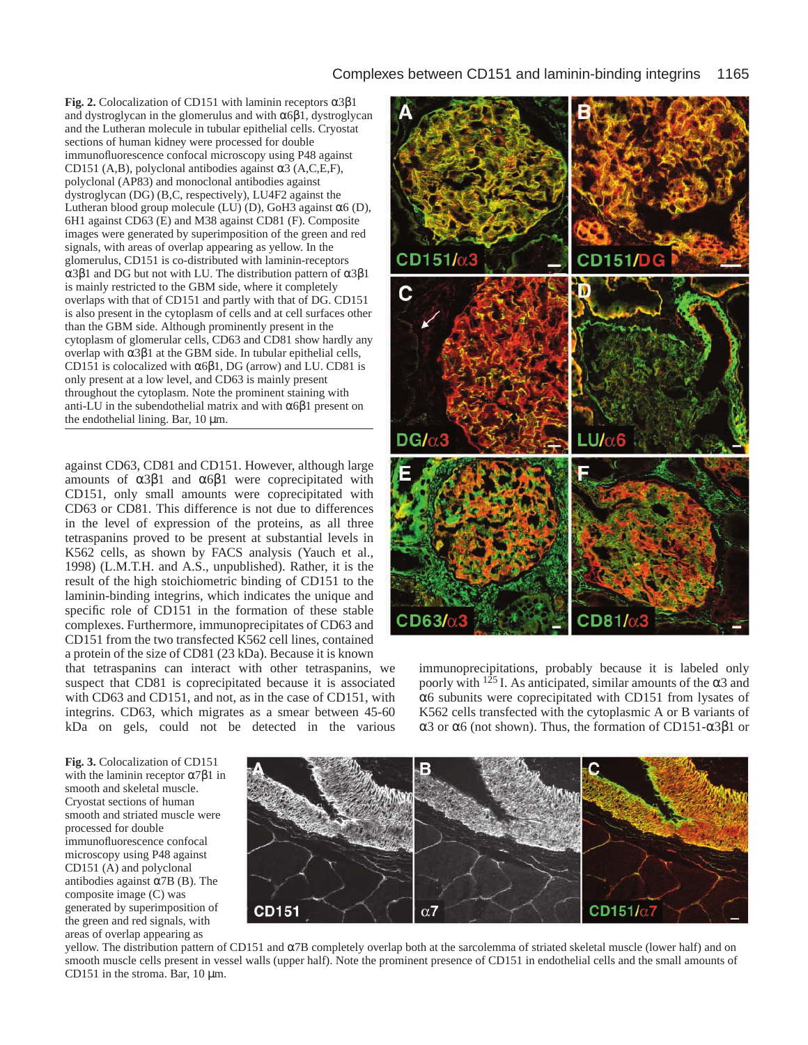## Complexes between CD151 and laminin-binding integrins 1165

**Fig. 2.** Colocalization of CD151 with laminin receptors α3β1 and dystroglycan in the glomerulus and with  $\alpha 6\beta 1$ , dystroglycan and the Lutheran molecule in tubular epithelial cells. Cryostat sections of human kidney were processed for double immunofluorescence confocal microscopy using P48 against CD151 (A,B), polyclonal antibodies against α3 (A,C,E,F), polyclonal (AP83) and monoclonal antibodies against dystroglycan (DG) (B,C, respectively), LU4F2 against the Lutheran blood group molecule (LU) (D), GoH3 against α6 (D), 6H1 against CD63 (E) and M38 against CD81 (F). Composite images were generated by superimposition of the green and red signals, with areas of overlap appearing as yellow. In the glomerulus, CD151 is co-distributed with laminin-receptors α3β1 and DG but not with LU. The distribution pattern of α3β1 is mainly restricted to the GBM side, where it completely overlaps with that of CD151 and partly with that of DG. CD151 is also present in the cytoplasm of cells and at cell surfaces other than the GBM side. Although prominently present in the cytoplasm of glomerular cells, CD63 and CD81 show hardly any overlap with α3β1 at the GBM side. In tubular epithelial cells, CD151 is colocalized with  $\alpha$ 6 $\beta$ 1, DG (arrow) and LU. CD81 is only present at a low level, and CD63 is mainly present throughout the cytoplasm. Note the prominent staining with anti-LU in the subendothelial matrix and with  $\alpha$ 6 $\beta$ 1 present on the endothelial lining. Bar,  $10 \mu m$ .

against CD63, CD81 and CD151. However, although large amounts of  $\alpha$ 3β1 and  $\alpha$ 6β1 were coprecipitated with CD151, only small amounts were coprecipitated with CD63 or CD81. This difference is not due to differences in the level of expression of the proteins, as all three tetraspanins proved to be present at substantial levels in K562 cells, as shown by FACS analysis (Yauch et al., 1998) (L.M.T.H. and A.S., unpublished). Rather, it is the result of the high stoichiometric binding of CD151 to the laminin-binding integrins, which indicates the unique and specific role of CD151 in the formation of these stable complexes. Furthermore, immunoprecipitates of CD63 and CD151 from the two transfected K562 cell lines, contained a protein of the size of CD81 (23 kDa). Because it is known

that tetraspanins can interact with other tetraspanins, we suspect that CD81 is coprecipitated because it is associated with CD63 and CD151, and not, as in the case of CD151, with integrins. CD63, which migrates as a smear between 45-60 kDa on gels, could not be detected in the various



immunoprecipitations, probably because it is labeled only poorly with  $125$  I. As anticipated, similar amounts of the  $\alpha$ 3 and α6 subunits were coprecipitated with CD151 from lysates of K562 cells transfected with the cytoplasmic A or B variants of α3 or α6 (not shown). Thus, the formation of CD151-α3β1 or

**Fig. 3.** Colocalization of CD151 with the laminin receptor  $\alpha$ 7β1 in smooth and skeletal muscle. Cryostat sections of human smooth and striated muscle were processed for double immunofluorescence confocal microscopy using P48 against CD151 (A) and polyclonal antibodies against  $\alpha$ 7B (B). The composite image (C) was generated by superimposition of the green and red signals, with areas of overlap appearing as



yellow. The distribution pattern of CD151 and α7B completely overlap both at the sarcolemma of striated skeletal muscle (lower half) and on smooth muscle cells present in vessel walls (upper half). Note the prominent presence of CD151 in endothelial cells and the small amounts of CD151 in the stroma. Bar,  $10 \mu m$ .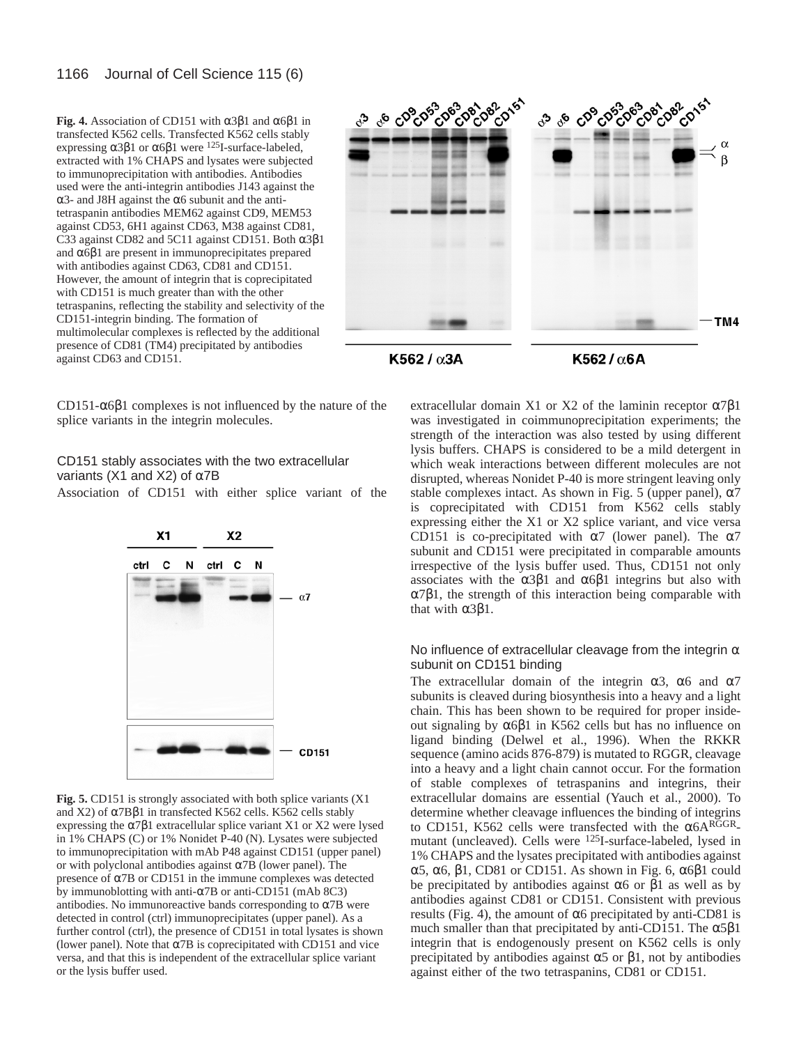**Fig. 4.** Association of CD151 with  $\alpha$ 3β1 and  $\alpha$ 6β1 in transfected K562 cells. Transfected K562 cells stably expressing  $\alpha$ 3β1 or  $\alpha$ 6β1 were <sup>125</sup>I-surface-labeled, extracted with 1% CHAPS and lysates were subjected to immunoprecipitation with antibodies. Antibodies used were the anti-integrin antibodies J143 against the α3- and J8H against the α6 subunit and the antitetraspanin antibodies MEM62 against CD9, MEM53 against CD53, 6H1 against CD63, M38 against CD81, C33 against CD82 and 5C11 against CD151. Both α3β1 and  $\alpha$ 6 $\beta$ 1 are present in immunoprecipitates prepared with antibodies against CD63, CD81 and CD151. However, the amount of integrin that is coprecipitated with CD151 is much greater than with the other tetraspanins, reflecting the stability and selectivity of the CD151-integrin binding. The formation of multimolecular complexes is reflected by the additional presence of CD81 (TM4) precipitated by antibodies against CD63 and CD151.



K562 /  $\alpha$ 3A

K562 / α6A

CD151-α6β1 complexes is not influenced by the nature of the splice variants in the integrin molecules.

#### CD151 stably associates with the two extracellular variants (X1 and X2) of  $\alpha$ 7B

Association of CD151 with either splice variant of the



**Fig. 5.** CD151 is strongly associated with both splice variants (X1 and X2) of α7Bβ1 in transfected K562 cells. K562 cells stably expressing the  $\alpha$ 7 $\beta$ 1 extracellular splice variant X1 or X2 were lysed in 1% CHAPS (C) or 1% Nonidet P-40 (N). Lysates were subjected to immunoprecipitation with mAb P48 against CD151 (upper panel) or with polyclonal antibodies against  $\alpha$ 7B (lower panel). The presence of α7B or CD151 in the immune complexes was detected by immunoblotting with anti-α7B or anti-CD151 (mAb 8C3) antibodies. No immunoreactive bands corresponding to  $\alpha$ 7B were detected in control (ctrl) immunoprecipitates (upper panel). As a further control (ctrl), the presence of CD151 in total lysates is shown (lower panel). Note that  $\alpha$ 7B is coprecipitated with CD151 and vice versa, and that this is independent of the extracellular splice variant or the lysis buffer used.

extracellular domain X1 or X2 of the laminin receptor  $\alpha$ 7 $\beta$ 1 was investigated in coimmunoprecipitation experiments; the strength of the interaction was also tested by using different lysis buffers. CHAPS is considered to be a mild detergent in which weak interactions between different molecules are not disrupted, whereas Nonidet P-40 is more stringent leaving only stable complexes intact. As shown in Fig. 5 (upper panel),  $\alpha$ 7 is coprecipitated with CD151 from K562 cells stably expressing either the X1 or X2 splice variant, and vice versa CD151 is co-precipitated with  $\alpha$ 7 (lower panel). The  $\alpha$ 7 subunit and CD151 were precipitated in comparable amounts irrespective of the lysis buffer used. Thus, CD151 not only associates with the  $\alpha$ 3 $\beta$ 1 and  $\alpha$ 6 $\beta$ 1 integrins but also with α7β1, the strength of this interaction being comparable with that with  $α3β1$ .

#### No influence of extracellular cleavage from the integrin  $\alpha$ subunit on CD151 binding

The extracellular domain of the integrin  $\alpha$ 3,  $\alpha$ 6 and  $\alpha$ 7 subunits is cleaved during biosynthesis into a heavy and a light chain. This has been shown to be required for proper insideout signaling by  $α6β1$  in K562 cells but has no influence on ligand binding (Delwel et al., 1996). When the RKKR sequence (amino acids 876-879) is mutated to RGGR, cleavage into a heavy and a light chain cannot occur. For the formation of stable complexes of tetraspanins and integrins, their extracellular domains are essential (Yauch et al., 2000). To determine whether cleavage influences the binding of integrins to CD151, K562 cells were transfected with the  $\alpha$ 6ARGGRmutant (uncleaved). Cells were 125I-surface-labeled, lysed in 1% CHAPS and the lysates precipitated with antibodies against α5, α6, β1, CD81 or CD151. As shown in Fig. 6, α6β1 could be precipitated by antibodies against  $\alpha$ 6 or  $\beta$ 1 as well as by antibodies against CD81 or CD151. Consistent with previous results (Fig. 4), the amount of α6 precipitated by anti-CD81 is much smaller than that precipitated by anti-CD151. The  $\alpha$ 5 $\beta$ 1 integrin that is endogenously present on K562 cells is only precipitated by antibodies against  $\alpha$ 5 or  $\beta$ 1, not by antibodies against either of the two tetraspanins, CD81 or CD151.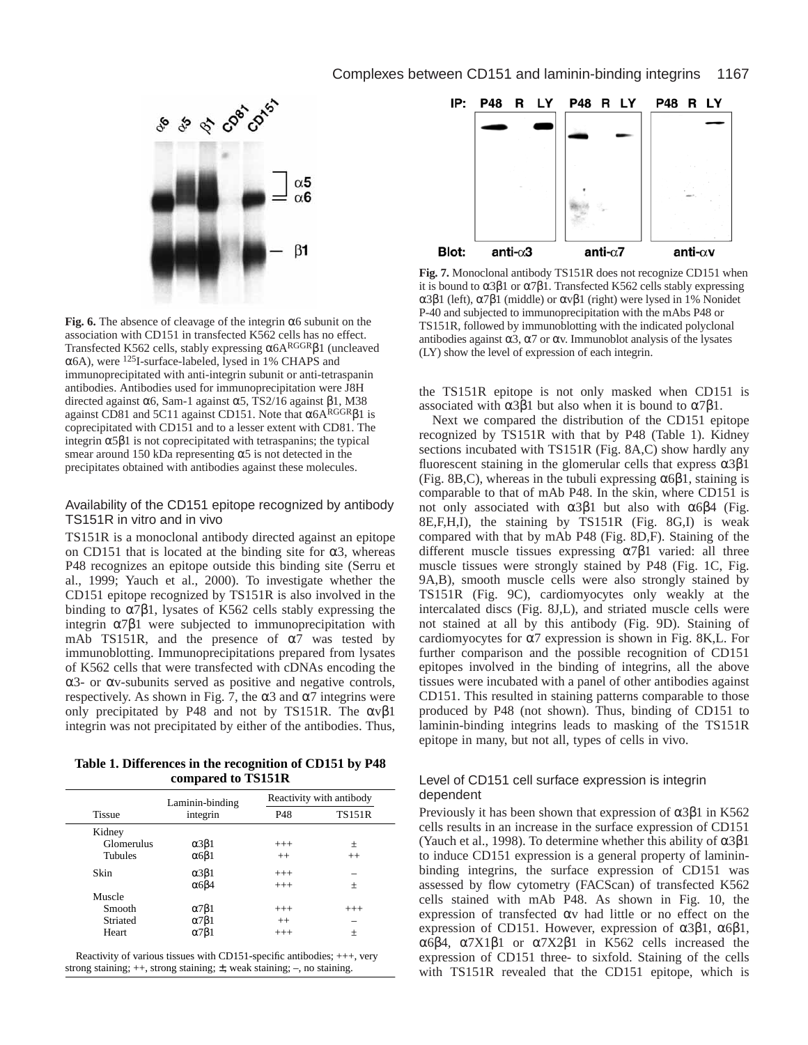#### Complexes between CD151 and laminin-binding integrins 1167



**Fig. 6.** The absence of cleavage of the integrin  $\alpha$ 6 subunit on the association with CD151 in transfected K562 cells has no effect. Transfected K562 cells, stably expressing α6ARGGRβ1 (uncleaved α6A), were 125I-surface-labeled, lysed in 1% CHAPS and immunoprecipitated with anti-integrin subunit or anti-tetraspanin antibodies. Antibodies used for immunoprecipitation were J8H directed against  $α6$ , Sam-1 against  $α5$ , TS2/16 against β1, M38 against CD81 and 5C11 against CD151. Note that  $\alpha$ 6ARGGR $\beta$ 1 is coprecipitated with CD151 and to a lesser extent with CD81. The integrin α5β1 is not coprecipitated with tetraspanins; the typical smear around 150 kDa representing  $\alpha$ 5 is not detected in the precipitates obtained with antibodies against these molecules.

#### Availability of the CD151 epitope recognized by antibody TS151R in vitro and in vivo

TS151R is a monoclonal antibody directed against an epitope on CD151 that is located at the binding site for  $\alpha$ 3, whereas P48 recognizes an epitope outside this binding site (Serru et al., 1999; Yauch et al., 2000). To investigate whether the CD151 epitope recognized by TS151R is also involved in the binding to  $\alpha$ 7 $\beta$ 1, lysates of K562 cells stably expressing the integrin  $α7β1$  were subjected to immunoprecipitation with mAb TS151R, and the presence of  $\alpha$ 7 was tested by immunoblotting. Immunoprecipitations prepared from lysates of K562 cells that were transfected with cDNAs encoding the α3- or αv-subunits served as positive and negative controls, respectively. As shown in Fig. 7, the  $\alpha$ 3 and  $\alpha$ 7 integrins were only precipitated by P48 and not by TS151R. The  $\alpha v \beta 1$ integrin was not precipitated by either of the antibodies. Thus,

**Table 1. Differences in the recognition of CD151 by P48 compared to TS151R**

|  |                | Laminin-binding      | Reactivity with antibody |               |  |
|--|----------------|----------------------|--------------------------|---------------|--|
|  | <b>Tissue</b>  | integrin             | P48                      | <b>TS151R</b> |  |
|  | Kidney         |                      |                          |               |  |
|  | Glomerulus     | $\alpha$ 3 $\beta$ 1 | $+++$                    | 土             |  |
|  | <b>Tubules</b> | $\alpha$ 681         | $++$                     | $++$          |  |
|  | Skin           | $\alpha$ 3 $\beta$ 1 | $+++$                    |               |  |
|  |                | $\alpha$ 6 $\beta$ 4 | $+++$                    | 土             |  |
|  | Muscle         |                      |                          |               |  |
|  | Smooth         | $\alpha$ 7 $\beta$ 1 | $+++$                    | $+++$         |  |
|  | Striated       | $\alpha$ 7 $\beta$ 1 | $++$                     |               |  |
|  | Heart          | $\alpha$ 7 $\beta$ 1 | $+++$                    | 土             |  |
|  |                |                      |                          |               |  |

Reactivity of various tissues with CD151-specific antibodies; +++, very strong staining; ++, strong staining; ±, weak staining; –, no staining.



**Fig. 7.** Monoclonal antibody TS151R does not recognize CD151 when it is bound to  $\alpha$ 3β1 or  $\alpha$ 7β1. Transfected K562 cells stably expressing α3β1 (left), α7β1 (middle) or αvβ1 (right) were lysed in 1% Nonidet P-40 and subjected to immunoprecipitation with the mAbs P48 or TS151R, followed by immunoblotting with the indicated polyclonal antibodies against  $\alpha$ 3,  $\alpha$ 7 or  $\alpha$ v. Immunoblot analysis of the lysates (LY) show the level of expression of each integrin.

the TS151R epitope is not only masked when CD151 is associated with  $\alpha$ 3β1 but also when it is bound to  $\alpha$ 7β1.

Next we compared the distribution of the CD151 epitope recognized by TS151R with that by P48 (Table 1). Kidney sections incubated with TS151R (Fig. 8A,C) show hardly any fluorescent staining in the glomerular cells that express  $\alpha 3\beta 1$ (Fig. 8B,C), whereas in the tubuli expressing  $\alpha$ 6 $\beta$ 1, staining is comparable to that of mAb P48. In the skin, where CD151 is not only associated with  $\alpha$ 3β1 but also with  $\alpha$ 6β4 (Fig. 8E,F,H,I), the staining by TS151R (Fig. 8G,I) is weak compared with that by mAb P48 (Fig. 8D,F). Staining of the different muscle tissues expressing  $\alpha$ 7 $\beta$ 1 varied: all three muscle tissues were strongly stained by P48 (Fig. 1C, Fig. 9A,B), smooth muscle cells were also strongly stained by TS151R (Fig. 9C), cardiomyocytes only weakly at the intercalated discs (Fig. 8J,L), and striated muscle cells were not stained at all by this antibody (Fig. 9D). Staining of cardiomyocytes for  $\alpha$ 7 expression is shown in Fig. 8K,L. For further comparison and the possible recognition of CD151 epitopes involved in the binding of integrins, all the above tissues were incubated with a panel of other antibodies against CD151. This resulted in staining patterns comparable to those produced by P48 (not shown). Thus, binding of CD151 to laminin-binding integrins leads to masking of the TS151R epitope in many, but not all, types of cells in vivo.

#### Level of CD151 cell surface expression is integrin dependent

Previously it has been shown that expression of  $\alpha$ 3 $\beta$ 1 in K562 cells results in an increase in the surface expression of CD151 (Yauch et al., 1998). To determine whether this ability of  $\alpha 3\beta 1$ to induce CD151 expression is a general property of lamininbinding integrins, the surface expression of CD151 was assessed by flow cytometry (FACScan) of transfected K562 cells stained with mAb P48. As shown in Fig. 10, the expression of transfected αv had little or no effect on the expression of CD151. However, expression of  $α3β1$ ,  $α6β1$ , α6β4, α7X1β1 or α7X2β1 in K562 cells increased the expression of CD151 three- to sixfold. Staining of the cells with TS151R revealed that the CD151 epitope, which is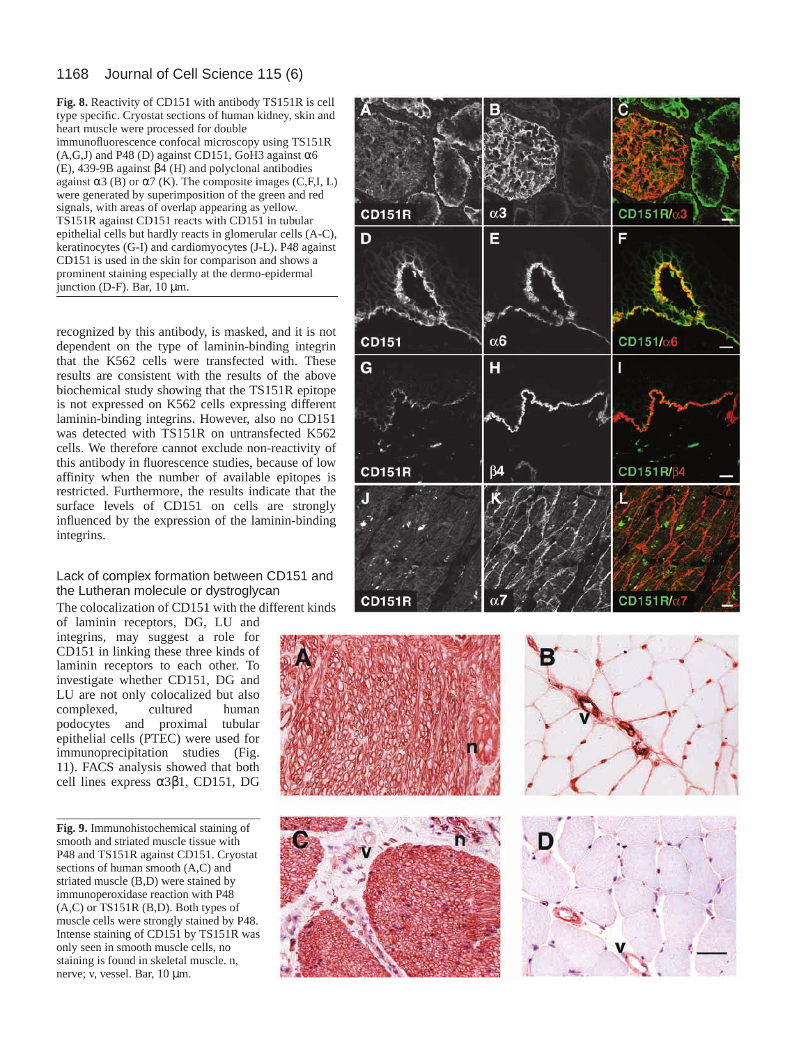#### 1168 Journal of Cell Science 115 (6)

**Fig. 8.** Reactivity of CD151 with antibody TS151R is cell type specific. Cryostat sections of human kidney, skin and heart muscle were processed for double immunofluorescence confocal microscopy using TS151R  $(A,G,J)$  and P48 (D) against CD151, GoH3 against  $\alpha$ 6 (E), 439-9B against β4 (H) and polyclonal antibodies against  $\alpha$ 3 (B) or  $\alpha$ 7 (K). The composite images (C,F,I, L) were generated by superimposition of the green and red signals, with areas of overlap appearing as yellow. TS151R against CD151 reacts with CD151 in tubular epithelial cells but hardly reacts in glomerular cells (A-C), keratinocytes (G-I) and cardiomyocytes (J-L). P48 against CD151 is used in the skin for comparison and shows a prominent staining especially at the dermo-epidermal junction (D-F). Bar, 10 µm.

recognized by this antibody, is masked, and it is not dependent on the type of laminin-binding integrin that the K562 cells were transfected with. These results are consistent with the results of the above biochemical study showing that the TS151R epitope is not expressed on K562 cells expressing different laminin-binding integrins. However, also no CD151 was detected with TS151R on untransfected K562 cells. We therefore cannot exclude non-reactivity of this antibody in fluorescence studies, because of low affinity when the number of available epitopes is restricted. Furthermore, the results indicate that the surface levels of CD151 on cells are strongly influenced by the expression of the laminin-binding integrins.

#### Lack of complex formation between CD151 and the Lutheran molecule or dystroglycan

The colocalization of CD151 with the different kinds of laminin receptors, DG, LU and

integrins, may suggest a role for CD151 in linking these three kinds of laminin receptors to each other. To investigate whether CD151, DG and LU are not only colocalized but also complexed, cultured human podocytes and proximal tubular epithelial cells (PTEC) were used for immunoprecipitation studies (Fig. 11). FACS analysis showed that both cell lines express α3β1, CD151, DG

**Fig. 9.** Immunohistochemical staining of smooth and striated muscle tissue with P48 and TS151R against CD151. Cryostat sections of human smooth (A,C) and striated muscle (B,D) were stained by immunoperoxidase reaction with P48 (A,C) or TS151R (B,D). Both types of muscle cells were strongly stained by P48. Intense staining of CD151 by TS151R was only seen in smooth muscle cells, no staining is found in skeletal muscle. n, nerve; v, vessel. Bar, 10 µm.



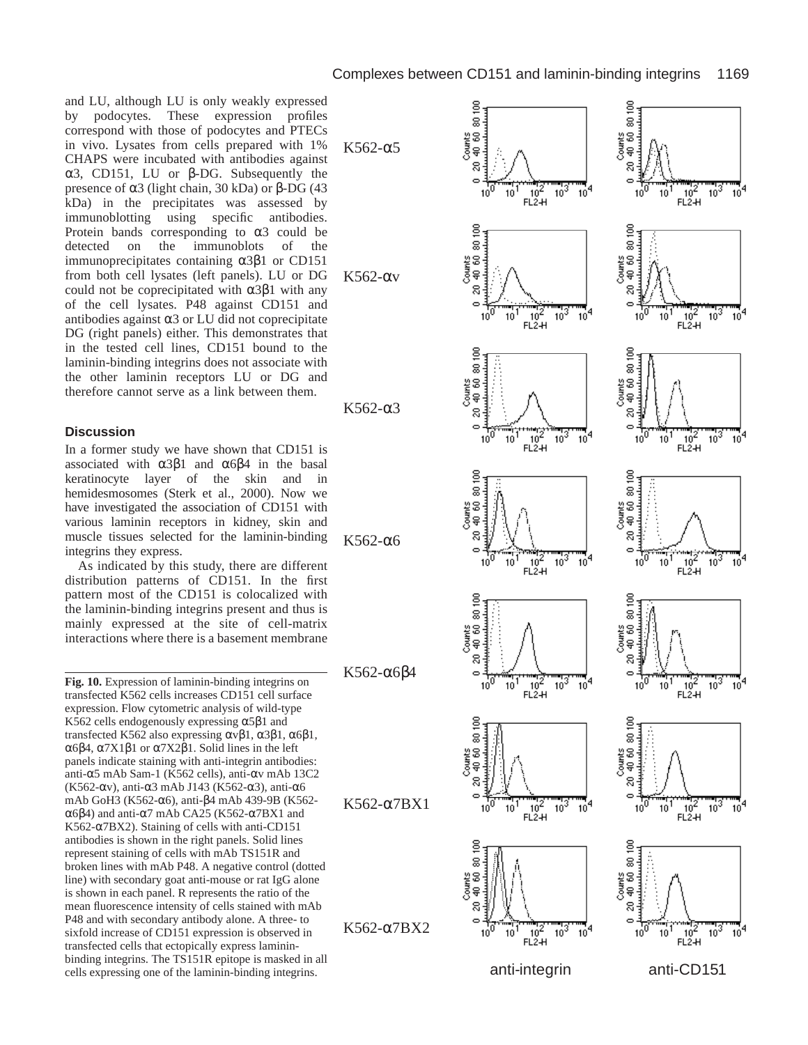and LU, although LU is only weakly expressed by podocytes. These expression profiles correspond with those of podocytes and PTECs in vivo. Lysates from cells prepared with 1% CHAPS were incubated with antibodies against α3, CD151, LU or β-DG. Subsequently the presence of α3 (light chain, 30 kDa) or β-DG (43 kDa) in the precipitates was assessed by immunoblotting using specific antibodies. Protein bands corresponding to  $\alpha$ 3 could be detected on the immunoblots of the immunoprecipitates containing α3β1 or CD151 from both cell lysates (left panels). LU or DG could not be coprecipitated with  $\alpha$ 3β1 with any of the cell lysates. P48 against CD151 and antibodies against  $\alpha$ 3 or LU did not coprecipitate DG (right panels) either. This demonstrates that in the tested cell lines, CD151 bound to the laminin-binding integrins does not associate with the other laminin receptors LU or DG and therefore cannot serve as a link between them.

#### **Discussion**

In a former study we have shown that CD151 is associated with  $\alpha 3\beta 1$  and  $\alpha 6\beta 4$  in the basal keratinocyte layer of the skin and in hemidesmosomes (Sterk et al., 2000). Now we have investigated the association of CD151 with various laminin receptors in kidney, skin and muscle tissues selected for the laminin-binding integrins they express.

As indicated by this study, there are different distribution patterns of CD151. In the first pattern most of the CD151 is colocalized with the laminin-binding integrins present and thus is mainly expressed at the site of cell-matrix interactions where there is a basement membrane

**Fig. 10.** Expression of laminin-binding integrins on transfected K562 cells increases CD151 cell surface expression. Flow cytometric analysis of wild-type K562 cells endogenously expressing  $\alpha$ 5 $\beta$ 1 and transfected K562 also expressing αvβ1, α3β1, α6β1, α6β4, α7X1β1 or α7X2β1. Solid lines in the left panels indicate staining with anti-integrin antibodies: anti-α5 mAb Sam-1 (K562 cells), anti-αv mAb 13C2 (K562- $\alpha$ v), anti- $\alpha$ 3 mAb J143 (K562- $\alpha$ 3), anti- $\alpha$ 6 mAb GoH3 (K562-α6), anti-β4 mAb 439-9B (K562 α6β4) and anti-α7 mAb CA25 (K562-α7BX1 and K562-α7BX2). Staining of cells with anti-CD151 antibodies is shown in the right panels. Solid lines represent staining of cells with mAb TS151R and broken lines with mAb P48. A negative control (dotted line) with secondary goat anti-mouse or rat IgG alone is shown in each panel. R represents the ratio of the mean fluorescence intensity of cells stained with mAb P48 and with secondary antibody alone. A three- to sixfold increase of CD151 expression is observed in transfected cells that ectopically express lamininbinding integrins. The TS151R epitope is masked in all cells expressing one of the laminin-binding integrins.

$$
K562\textrm{-}\alpha5
$$



K562-α3

K562-α6

K562-αv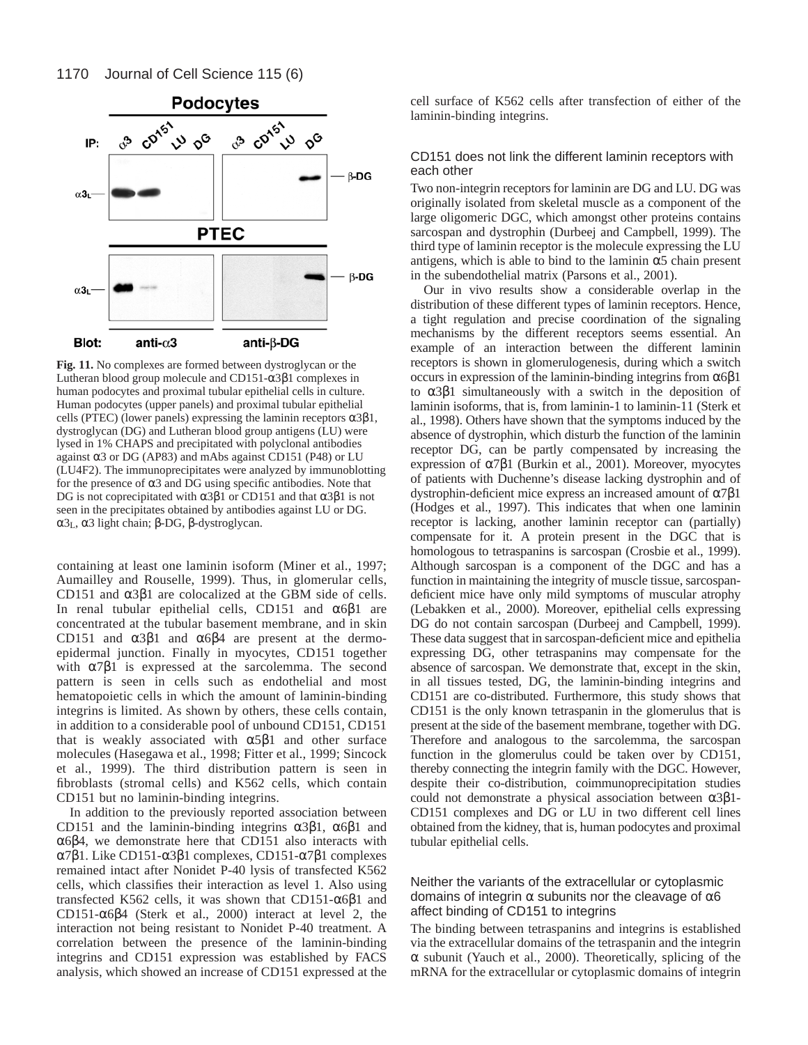

**Fig. 11.** No complexes are formed between dystroglycan or the Lutheran blood group molecule and CD151-α3β1 complexes in human podocytes and proximal tubular epithelial cells in culture. Human podocytes (upper panels) and proximal tubular epithelial cells (PTEC) (lower panels) expressing the laminin receptors  $\alpha 3\beta 1$ , dystroglycan (DG) and Lutheran blood group antigens (LU) were lysed in 1% CHAPS and precipitated with polyclonal antibodies against α3 or DG (AP83) and mAbs against CD151 (P48) or LU (LU4F2). The immunoprecipitates were analyzed by immunoblotting for the presence of  $\alpha$ 3 and DG using specific antibodies. Note that DG is not coprecipitated with  $\alpha$ 3 $\beta$ 1 or CD151 and that  $\alpha$ 3 $\beta$ 1 is not seen in the precipitates obtained by antibodies against LU or DG. α3L, α3 light chain; β-DG, β-dystroglycan.

containing at least one laminin isoform (Miner et al., 1997; Aumailley and Rouselle, 1999). Thus, in glomerular cells, CD151 and  $α3β1$  are colocalized at the GBM side of cells. In renal tubular epithelial cells, CD151 and  $\alpha$ 6 $\beta$ 1 are concentrated at the tubular basement membrane, and in skin CD151 and  $α3β1$  and  $α6β4$  are present at the dermoepidermal junction. Finally in myocytes, CD151 together with  $\alpha$ 7 $\beta$ 1 is expressed at the sarcolemma. The second pattern is seen in cells such as endothelial and most hematopoietic cells in which the amount of laminin-binding integrins is limited. As shown by others, these cells contain, in addition to a considerable pool of unbound CD151, CD151 that is weakly associated with  $\alpha 5\beta 1$  and other surface molecules (Hasegawa et al., 1998; Fitter et al., 1999; Sincock et al., 1999). The third distribution pattern is seen in fibroblasts (stromal cells) and K562 cells, which contain CD151 but no laminin-binding integrins.

In addition to the previously reported association between CD151 and the laminin-binding integrins  $α3β1$ ,  $α6β1$  and α6β4, we demonstrate here that CD151 also interacts with α7β1. Like CD151-α3β1 complexes, CD151-α7β1 complexes remained intact after Nonidet P-40 lysis of transfected K562 cells, which classifies their interaction as level 1. Also using transfected K562 cells, it was shown that CD151-α6β1 and CD151-α6β4 (Sterk et al., 2000) interact at level 2, the interaction not being resistant to Nonidet P-40 treatment. A correlation between the presence of the laminin-binding integrins and CD151 expression was established by FACS analysis, which showed an increase of CD151 expressed at the

cell surface of K562 cells after transfection of either of the laminin-binding integrins.

#### CD151 does not link the different laminin receptors with each other

Two non-integrin receptors for laminin are DG and LU. DG was originally isolated from skeletal muscle as a component of the large oligomeric DGC, which amongst other proteins contains sarcospan and dystrophin (Durbeej and Campbell, 1999). The third type of laminin receptor is the molecule expressing the LU antigens, which is able to bind to the laminin  $\alpha$ 5 chain present in the subendothelial matrix (Parsons et al., 2001).

Our in vivo results show a considerable overlap in the distribution of these different types of laminin receptors. Hence, a tight regulation and precise coordination of the signaling mechanisms by the different receptors seems essential. An example of an interaction between the different laminin receptors is shown in glomerulogenesis, during which a switch occurs in expression of the laminin-binding integrins from  $\alpha$ 6 $\beta$ 1 to α3β1 simultaneously with a switch in the deposition of laminin isoforms, that is, from laminin-1 to laminin-11 (Sterk et al., 1998). Others have shown that the symptoms induced by the absence of dystrophin, which disturb the function of the laminin receptor DG, can be partly compensated by increasing the expression of α7β1 (Burkin et al., 2001). Moreover, myocytes of patients with Duchenne's disease lacking dystrophin and of dystrophin-deficient mice express an increased amount of α7β1 (Hodges et al., 1997). This indicates that when one laminin receptor is lacking, another laminin receptor can (partially) compensate for it. A protein present in the DGC that is homologous to tetraspanins is sarcospan (Crosbie et al., 1999). Although sarcospan is a component of the DGC and has a function in maintaining the integrity of muscle tissue, sarcospandeficient mice have only mild symptoms of muscular atrophy (Lebakken et al., 2000). Moreover, epithelial cells expressing DG do not contain sarcospan (Durbeej and Campbell, 1999). These data suggest that in sarcospan-deficient mice and epithelia expressing DG, other tetraspanins may compensate for the absence of sarcospan. We demonstrate that, except in the skin, in all tissues tested, DG, the laminin-binding integrins and CD151 are co-distributed. Furthermore, this study shows that CD151 is the only known tetraspanin in the glomerulus that is present at the side of the basement membrane, together with DG. Therefore and analogous to the sarcolemma, the sarcospan function in the glomerulus could be taken over by CD151, thereby connecting the integrin family with the DGC. However, despite their co-distribution, coimmunoprecipitation studies could not demonstrate a physical association between α3β1- CD151 complexes and DG or LU in two different cell lines obtained from the kidney, that is, human podocytes and proximal tubular epithelial cells.

#### Neither the variants of the extracellular or cytoplasmic domains of integrin  $\alpha$  subunits nor the cleavage of  $\alpha$ 6 affect binding of CD151 to integrins

The binding between tetraspanins and integrins is established via the extracellular domains of the tetraspanin and the integrin  $\alpha$  subunit (Yauch et al., 2000). Theoretically, splicing of the mRNA for the extracellular or cytoplasmic domains of integrin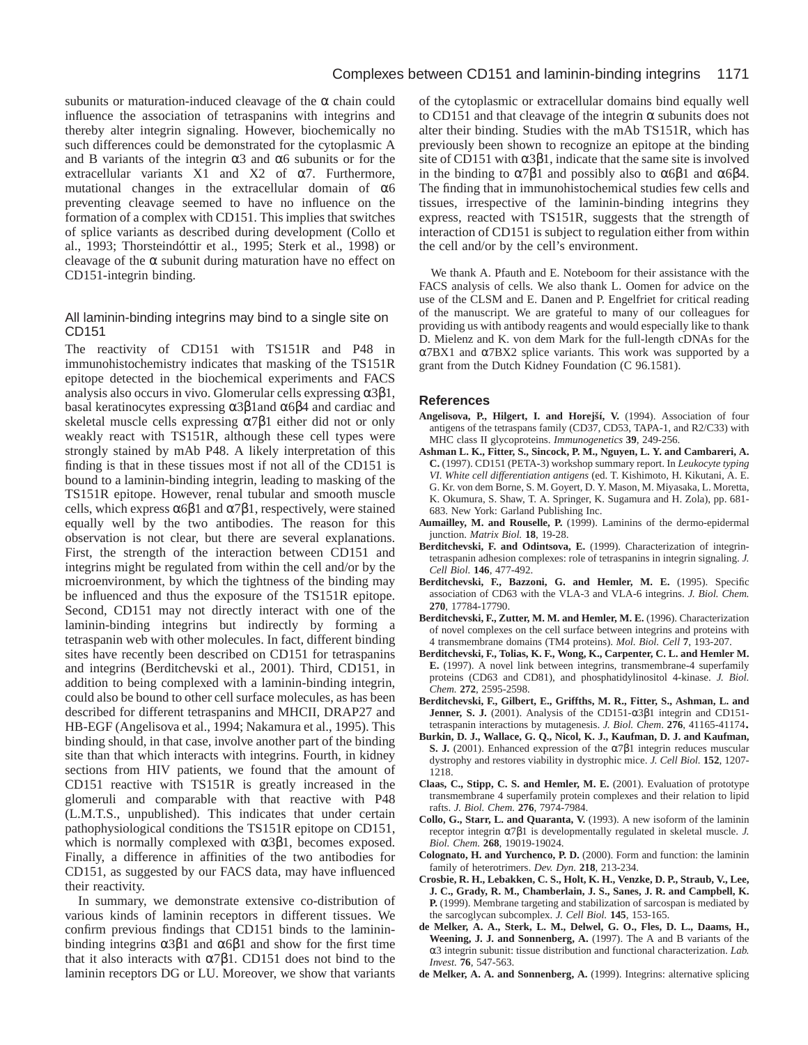subunits or maturation-induced cleavage of the  $\alpha$  chain could influence the association of tetraspanins with integrins and thereby alter integrin signaling. However, biochemically no such differences could be demonstrated for the cytoplasmic A and B variants of the integrin  $\alpha$ 3 and  $\alpha$ 6 subunits or for the extracellular variants X1 and X2 of  $\alpha$ 7. Furthermore, mutational changes in the extracellular domain of α6 preventing cleavage seemed to have no influence on the formation of a complex with CD151. This implies that switches of splice variants as described during development (Collo et al., 1993; Thorsteindóttir et al., 1995; Sterk et al., 1998) or cleavage of the  $\alpha$  subunit during maturation have no effect on CD151-integrin binding.

#### All laminin-binding integrins may bind to a single site on CD151

The reactivity of CD151 with TS151R and P48 in immunohistochemistry indicates that masking of the TS151R epitope detected in the biochemical experiments and FACS analysis also occurs in vivo. Glomerular cells expressing  $\alpha 3\beta 1$ , basal keratinocytes expressing α3β1and α6β4 and cardiac and skeletal muscle cells expressing  $\alpha$ 7 $\beta$ 1 either did not or only weakly react with TS151R, although these cell types were strongly stained by mAb P48. A likely interpretation of this finding is that in these tissues most if not all of the CD151 is bound to a laminin-binding integrin, leading to masking of the TS151R epitope. However, renal tubular and smooth muscle cells, which express  $\alpha 6\beta 1$  and  $\alpha 7\beta 1$ , respectively, were stained equally well by the two antibodies. The reason for this observation is not clear, but there are several explanations. First, the strength of the interaction between CD151 and integrins might be regulated from within the cell and/or by the microenvironment, by which the tightness of the binding may be influenced and thus the exposure of the TS151R epitope. Second, CD151 may not directly interact with one of the laminin-binding integrins but indirectly by forming a tetraspanin web with other molecules. In fact, different binding sites have recently been described on CD151 for tetraspanins and integrins (Berditchevski et al., 2001). Third, CD151, in addition to being complexed with a laminin-binding integrin, could also be bound to other cell surface molecules, as has been described for different tetraspanins and MHCII, DRAP27 and HB-EGF (Angelisova et al., 1994; Nakamura et al., 1995). This binding should, in that case, involve another part of the binding site than that which interacts with integrins. Fourth, in kidney sections from HIV patients, we found that the amount of CD151 reactive with TS151R is greatly increased in the glomeruli and comparable with that reactive with P48 (L.M.T.S., unpublished). This indicates that under certain pathophysiological conditions the TS151R epitope on CD151, which is normally complexed with  $\alpha 3\beta 1$ , becomes exposed. Finally, a difference in affinities of the two antibodies for CD151, as suggested by our FACS data, may have influenced their reactivity.

In summary, we demonstrate extensive co-distribution of various kinds of laminin receptors in different tissues. We confirm previous findings that CD151 binds to the lamininbinding integrins  $\alpha$ 3β1 and  $\alpha$ 6β1 and show for the first time that it also interacts with  $α7β1$ . CD151 does not bind to the laminin receptors DG or LU. Moreover, we show that variants

of the cytoplasmic or extracellular domains bind equally well to CD151 and that cleavage of the integrin  $\alpha$  subunits does not alter their binding. Studies with the mAb TS151R, which has previously been shown to recognize an epitope at the binding site of CD151 with  $\alpha$ 3 $\beta$ 1, indicate that the same site is involved in the binding to  $\alpha$ 7 $\beta$ 1 and possibly also to  $\alpha$ 6 $\beta$ 1 and  $\alpha$ 6 $\beta$ 4. The finding that in immunohistochemical studies few cells and tissues, irrespective of the laminin-binding integrins they express, reacted with TS151R, suggests that the strength of interaction of CD151 is subject to regulation either from within the cell and/or by the cell's environment.

We thank A. Pfauth and E. Noteboom for their assistance with the FACS analysis of cells. We also thank L. Oomen for advice on the use of the CLSM and E. Danen and P. Engelfriet for critical reading of the manuscript. We are grateful to many of our colleagues for providing us with antibody reagents and would especially like to thank D. Mielenz and K. von dem Mark for the full-length cDNAs for the α7BX1 and α7BX2 splice variants. This work was supported by a grant from the Dutch Kidney Foundation (C 96.1581).

#### **References**

- Angelisova, P., Hilgert, I. and Horejší, V. (1994). Association of four antigens of the tetraspans family (CD37, CD53, TAPA-1, and R2/C33) with MHC class II glycoproteins. *Immunogenetics* **39**, 249-256.
- **Ashman L. K., Fitter, S., Sincock, P. M., Nguyen, L. Y. and Cambareri, A. C.** (1997). CD151 (PETA-3) workshop summary report. In *Leukocyte typing VI. White cell differentiation antigens* (ed. T. Kishimoto, H. Kikutani, A. E. G. Kr. von dem Borne, S. M. Goyert, D. Y. Mason, M. Miyasaka, L. Moretta, K. Okumura, S. Shaw, T. A. Springer, K. Sugamura and H. Zola), pp. 681- 683. New York: Garland Publishing Inc.
- **Aumailley, M. and Rouselle, P.** (1999). Laminins of the dermo-epidermal junction. *Matrix Biol.* **18**, 19-28.
- **Berditchevski, F. and Odintsova, E.** (1999). Characterization of integrintetraspanin adhesion complexes: role of tetraspanins in integrin signaling. *J. Cell Biol.* **146**, 477-492.
- Berditchevski, F., Bazzoni, G. and Hemler, M. E. (1995). Specific association of CD63 with the VLA-3 and VLA-6 integrins. *J. Biol. Chem.* **270**, 17784-17790.
- **Berditchevski, F., Zutter, M. M. and Hemler, M. E.** (1996). Characterization of novel complexes on the cell surface between integrins and proteins with 4 transmembrane domains (TM4 proteins). *Mol. Biol. Cell* **7**, 193-207.
- **Berditchevski, F., Tolias, K. F., Wong, K., Carpenter, C. L. and Hemler M. E.** (1997). A novel link between integrins, transmembrane-4 superfamily proteins (CD63 and CD81), and phosphatidylinositol 4-kinase. *J. Biol. Chem.* **272**, 2595-2598.
- **Berditchevski, F., Gilbert, E., Griffths, M. R., Fitter, S., Ashman, L. and Jenner, S. J.** (2001). Analysis of the CD151-α3β1 integrin and CD151-<br>tetraspanin interactions by mutagenesis. *J. Biol. Chem.* **276**, 41165-41174.
- Burkin, D. J., Wallace, G. Q., Nicol, K. J., Kaufman, D. J. and Kaufman, **S. J.** (2001). Enhanced expression of the α7β1 integrin reduces muscular dystrophy and restores viability in dystrophic mice. *J. Cell Biol.* **152**, 1207- 1218.
- **Claas, C., Stipp, C. S. and Hemler, M. E.** (2001). Evaluation of prototype transmembrane 4 superfamily protein complexes and their relation to lipid rafts. *J. Biol. Chem.* **276**, 7974-7984.
- **Collo, G., Starr, L. and Quaranta, V.** (1993). A new isoform of the laminin receptor integrin α7β1 is developmentally regulated in skeletal muscle. *J. Biol. Chem.* **268**, 19019-19024.
- **Colognato, H. and Yurchenco, P. D.** (2000). Form and function: the laminin family of heterotrimers. *Dev. Dyn.* **218**, 213-234.
- **Crosbie, R. H., Lebakken, C. S., Holt, K. H., Venzke, D. P., Straub, V., Lee, J. C., Grady, R. M., Chamberlain, J. S., Sanes, J. R. and Campbell, K. P.** (1999). Membrane targeting and stabilization of sarcospan is mediated by the sarcoglycan subcomplex. *J. Cell Biol.* **145**, 153-165.
- **de Melker, A. A., Sterk, L. M., Delwel, G. O., Fles, D. L., Daams, H., Weening, J. J. and Sonnenberg, A.** (1997). The A and B variants of the α3 integrin subunit: tissue distribution and functional characterization. *Lab. Invest.* **76**, 547-563.
- **de Melker, A. A. and Sonnenberg, A.** (1999). Integrins: alternative splicing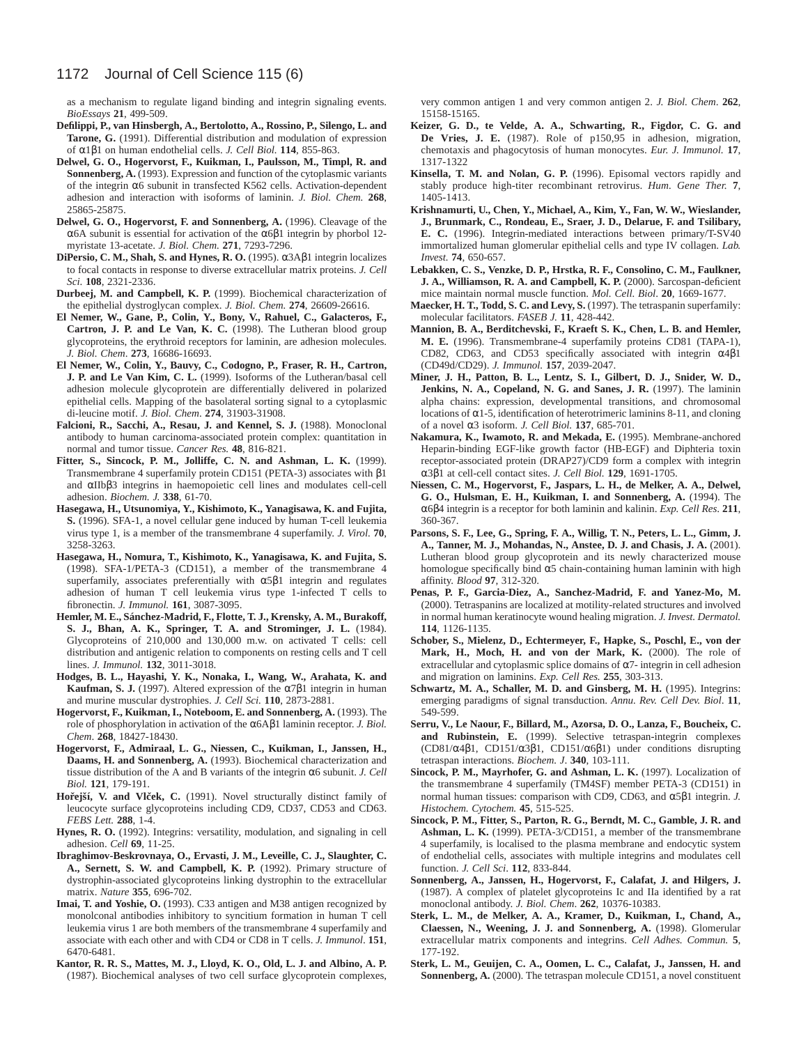as a mechanism to regulate ligand binding and integrin signaling events. *BioEssays* **21**, 499-509.

- **Defilippi, P., van Hinsbergh, A., Bertolotto, A., Rossino, P., Silengo, L. and Tarone, G.** (1991). Differential distribution and modulation of expression of α1β1 on human endothelial cells. *J. Cell Biol.* **114**, 855-863.
- **Delwel, G. O., Hogervorst, F., Kuikman, I., Paulsson, M., Timpl, R. and Sonnenberg, A.** (1993). Expression and function of the cytoplasmic variants of the integrin α6 subunit in transfected K562 cells. Activation-dependent adhesion and interaction with isoforms of laminin. *J. Biol. Chem.* **268**, 25865-25875.
- Delwel, G. O., Hogervorst, F. and Sonnenberg, A. (1996). Cleavage of the α6A subunit is essential for activation of the α6β1 integrin by phorbol 12 myristate 13-acetate. *J. Biol. Chem.* **271**, 7293-7296.
- **DiPersio, C. M., Shah, S. and Hynes, R. O.** (1995). α3Aβ1 integrin localizes to focal contacts in response to diverse extracellular matrix proteins. *J. Cell Sci*. **108**, 2321-2336.
- **Durbeej, M. and Campbell, K. P.** (1999). Biochemical characterization of the epithelial dystroglycan complex. *J. Biol. Chem.* **274**, 26609-26616.
- **El Nemer, W., Gane, P., Colin, Y., Bony, V., Rahuel, C., Galacteros, F., Cartron, J. P. and Le Van, K. C.** (1998). The Lutheran blood group glycoproteins, the erythroid receptors for laminin, are adhesion molecules. *J. Biol. Chem*. **273**, 16686-16693.
- **El Nemer, W., Colin, Y., Bauvy, C., Codogno, P., Fraser, R. H., Cartron, J. P. and Le Van Kim, C. L.** (1999). Isoforms of the Lutheran/basal cell adhesion molecule glycoprotein are differentially delivered in polarized epithelial cells. Mapping of the basolateral sorting signal to a cytoplasmic di-leucine motif. *J. Biol. Chem*. **274**, 31903-31908.
- Falcioni, R., Sacchi, A., Resau, J. and Kennel, S. J. (1988). Monoclonal antibody to human carcinoma-associated protein complex: quantitation in normal and tumor tissue. *Cancer Res.* **48**, 816-821.
- **Fitter, S., Sincock, P. M., Jolliffe, C. N. and Ashman, L. K.** (1999). Transmembrane 4 superfamily protein CD151 (PETA-3) associates with β1 and αIIbβ3 integrins in haemopoietic cell lines and modulates cell-cell adhesion. *Biochem. J.* **338**, 61-70.
- **Hasegawa, H., Utsunomiya, Y., Kishimoto, K., Yanagisawa, K. and Fujita, S.** (1996). SFA-1, a novel cellular gene induced by human T-cell leukemia virus type 1, is a member of the transmembrane 4 superfamily. *J. Virol.* **70**, 3258-3263.
- **Hasegawa, H., Nomura, T., Kishimoto, K., Yanagisawa, K. and Fujita, S.** (1998). SFA-1/PETA-3 (CD151), a member of the transmembrane 4 superfamily, associates preferentially with α5β1 integrin and regulates adhesion of human T cell leukemia virus type 1-infected T cells to fibronectin. *J. Immunol.* **161**, 3087-3095.
- **Hemler, M. E., Sánchez-Madrid, F., Flotte, T. J., Krensky, A. M., Burakoff, S. J., Bhan, A. K., Springer, T. A. and Strominger, J. L.** (1984). Glycoproteins of 210,000 and 130,000 m.w. on activated T cells: cell distribution and antigenic relation to components on resting cells and T cell lines. *J. Immunol.* **132**, 3011-3018.
- **Hodges, B. L., Hayashi, Y. K., Nonaka, I., Wang, W., Arahata, K. and Kaufman, S. J.** (1997). Altered expression of the  $α7β1$  integrin in human and murine muscular dystrophies. *J. Cell Sci.* **110**, 2873-2881.
- **Hogervorst, F., Kuikman, I., Noteboom, E. and Sonnenberg, A.** (1993). The role of phosphorylation in activation of the α6Aβ1 laminin receptor. *J. Biol. Chem*. **268**, 18427-18430.
- **Hogervorst, F., Admiraal, L. G., Niessen, C., Kuikman, I., Janssen, H., Daams, H. and Sonnenberg, A.** (1993). Biochemical characterization and tissue distribution of the A and B variants of the integrin α6 subunit. *J. Cell Biol.* **121**, 179-191.
- Hořejší, V. and Vlček, C. (1991). Novel structurally distinct family of leucocyte surface glycoproteins including CD9, CD37, CD53 and CD63. *FEBS Lett.* **288**, 1-4.
- **Hynes, R. O.** (1992). Integrins: versatility, modulation, and signaling in cell adhesion. *Cell* **69**, 11-25.
- **Ibraghimov-Beskrovnaya, O., Ervasti, J. M., Leveille, C. J., Slaughter, C. A., Sernett, S. W. and Campbell, K. P.** (1992). Primary structure of dystrophin-associated glycoproteins linking dystrophin to the extracellular matrix. *Nature* **355**, 696-702.
- **Imai, T. and Yoshie, O.** (1993). C33 antigen and M38 antigen recognized by monolconal antibodies inhibitory to syncitium formation in human T cell leukemia virus 1 are both members of the transmembrane 4 superfamily and associate with each other and with CD4 or CD8 in T cells. *J. Immunol*. **151**, 6470-6481.
- **Kantor, R. R. S., Mattes, M. J., Lloyd, K. O., Old, L. J. and Albino, A. P.** (1987). Biochemical analyses of two cell surface glycoprotein complexes,

very common antigen 1 and very common antigen 2. *J. Biol. Chem*. **262**, 15158-15165.

- **Keizer, G. D., te Velde, A. A., Schwarting, R., Figdor, C. G. and De Vries, J. E.** (1987). Role of p150,95 in adhesion, migration, chemotaxis and phagocytosis of human monocytes. *Eur. J. Immunol.* **17**, 1317-1322
- **Kinsella, T. M. and Nolan, G. P.** (1996). Episomal vectors rapidly and stably produce high-titer recombinant retrovirus. *Hum. Gene Ther.* **7**, 1405-1413.
- **Krishnamurti, U., Chen, Y., Michael, A., Kim, Y., Fan, W. W., Wieslander, J., Brunmark, C., Rondeau, E., Sraer, J. D., Delarue, F. and Tsilibary, E. C.** (1996). Integrin-mediated interactions between primary/T-SV40 immortalized human glomerular epithelial cells and type IV collagen. *Lab. Invest.* **74**, 650-657.
- **Lebakken, C. S., Venzke, D. P., Hrstka, R. F., Consolino, C. M., Faulkner, J. A., Williamson, R. A. and Campbell, K. P.** (2000). Sarcospan-deficient mice maintain normal muscle function. *Mol. Cell. Biol*. **20**, 1669-1677.
- **Maecker, H. T., Todd, S. C. and Levy, S.** (1997). The tetraspanin superfamily: molecular facilitators. *FASEB J.* **11**, 428-442.
- **Mannion, B. A., Berditchevski, F., Kraeft S. K., Chen, L. B. and Hemler, M. E.** (1996). Transmembrane-4 superfamily proteins CD81 (TAPA-1), CD82, CD63, and CD53 specifically associated with integrin α4β1 (CD49d/CD29). *J. Immunol.* **157**, 2039-2047.
- **Miner, J. H., Patton, B. L., Lentz, S. I., Gilbert, D. J., Snider, W. D., Jenkins, N. A., Copeland, N. G. and Sanes, J. R.** (1997). The laminin alpha chains: expression, developmental transitions, and chromosomal locations of  $\alpha$ 1-5, identification of heterotrimeric laminins 8-11, and cloning of a novel α3 isoform. *J. Cell Biol.* **137**, 685-701.
- **Nakamura, K., Iwamoto, R. and Mekada, E.** (1995). Membrane-anchored Heparin-binding EGF-like growth factor (HB-EGF) and Diphteria toxin receptor-associated protein (DRAP27)/CD9 form a complex with integrin α3β1 at cell-cell contact sites. *J. Cell Biol.* **129**, 1691-1705.
- **Niessen, C. M., Hogervorst, F., Jaspars, L. H., de Melker, A. A., Delwel, G. O., Hulsman, E. H., Kuikman, I. and Sonnenberg, A.** (1994). The α6β4 integrin is a receptor for both laminin and kalinin. *Exp. Cell Res*. **211**, 360-367.
- **Parsons, S. F., Lee, G., Spring, F. A., Willig, T. N., Peters, L. L., Gimm, J. A., Tanner, M. J., Mohandas, N., Anstee, D. J. and Chasis, J. A.** (2001). Lutheran blood group glycoprotein and its newly characterized mouse homologue specifically bind  $\alpha$ 5 chain-containing human laminin with high affinity. *Blood* **97**, 312-320.
- **Penas, P. F., Garcia-Diez, A., Sanchez-Madrid, F. and Yanez-Mo, M.** (2000). Tetraspanins are localized at motility-related structures and involved in normal human keratinocyte wound healing migration. *J. Invest. Dermatol.* **114**, 1126-1135.
- **Schober, S., Mielenz, D., Echtermeyer, F., Hapke, S., Poschl, E., von der Mark, H., Moch, H. and von der Mark, K.** (2000). The role of extracellular and cytoplasmic splice domains of  $\alpha$ 7- integrin in cell adhesion and migration on laminins. *Exp. Cell Res.* **255**, 303-313.
- Schwartz, M. A., Schaller, M. D. and Ginsberg, M. H. (1995). Integrins: emerging paradigms of signal transduction. *Annu. Rev. Cell Dev. Biol*. **11**, 549-599.
- **Serru, V., Le Naour, F., Billard, M., Azorsa, D. O., Lanza, F., Boucheix, C. and Rubinstein, E.** (1999). Selective tetraspan-integrin complexes (CD81/α4β1, CD151/α3β1, CD151/α6β1) under conditions disrupting tetraspan interactions. *Biochem. J*. **340**, 103-111.
- **Sincock, P. M., Mayrhofer, G. and Ashman, L. K.** (1997). Localization of the transmembrane 4 superfamily (TM4SF) member PETA-3 (CD151) in normal human tissues: comparison with CD9, CD63, and α5β1 integrin. *J. Histochem. Cytochem.* **45**, 515-525.
- **Sincock, P. M., Fitter, S., Parton, R. G., Berndt, M. C., Gamble, J. R. and Ashman, L. K.** (1999). PETA-3/CD151, a member of the transmembrane 4 superfamily, is localised to the plasma membrane and endocytic system of endothelial cells, associates with multiple integrins and modulates cell function. *J. Cell Sci*. **112**, 833-844.
- **Sonnenberg, A., Janssen, H., Hogervorst, F., Calafat, J. and Hilgers, J.** (1987). A complex of platelet glycoproteins Ic and IIa identified by a rat monoclonal antibody. *J. Biol. Chem*. **262**, 10376-10383.
- **Sterk, L. M., de Melker, A. A., Kramer, D., Kuikman, I., Chand, A., Claessen, N., Weening, J. J. and Sonnenberg, A.** (1998). Glomerular extracellular matrix components and integrins. *Cell Adhes. Commun.* **5**, 177-192.
- **Sterk, L. M., Geuijen, C. A., Oomen, L. C., Calafat, J., Janssen, H. and Sonnenberg, A.** (2000). The tetraspan molecule CD151, a novel constituent